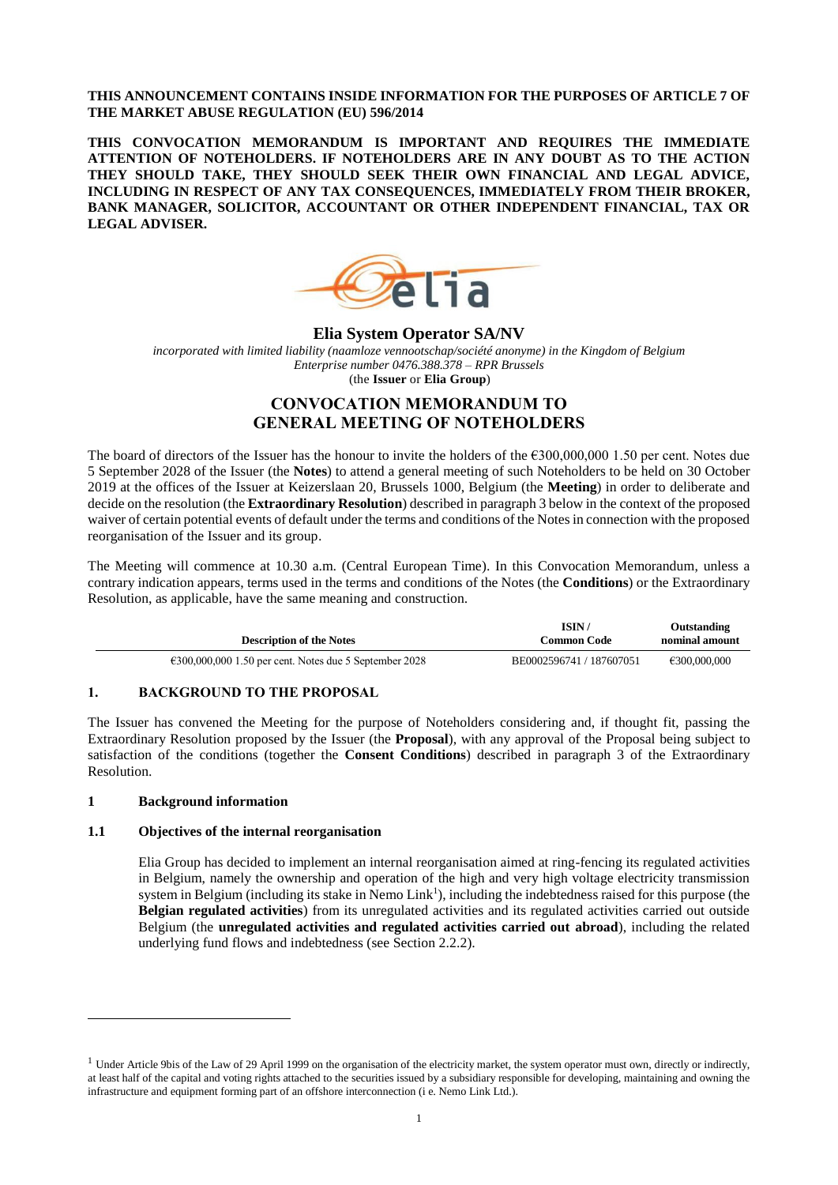# **THIS ANNOUNCEMENT CONTAINS INSIDE INFORMATION FOR THE PURPOSES OF ARTICLE 7 OF THE MARKET ABUSE REGULATION (EU) 596/2014**

**THIS CONVOCATION MEMORANDUM IS IMPORTANT AND REQUIRES THE IMMEDIATE ATTENTION OF NOTEHOLDERS. IF NOTEHOLDERS ARE IN ANY DOUBT AS TO THE ACTION THEY SHOULD TAKE, THEY SHOULD SEEK THEIR OWN FINANCIAL AND LEGAL ADVICE, INCLUDING IN RESPECT OF ANY TAX CONSEQUENCES, IMMEDIATELY FROM THEIR BROKER, BANK MANAGER, SOLICITOR, ACCOUNTANT OR OTHER INDEPENDENT FINANCIAL, TAX OR LEGAL ADVISER.**



**Elia System Operator SA/NV**

*incorporated with limited liability (naamloze vennootschap/société anonyme) in the Kingdom of Belgium Enterprise number 0476.388.378 – RPR Brussels* (the **Issuer** or **Elia Group**)

# **CONVOCATION MEMORANDUM TO GENERAL MEETING OF NOTEHOLDERS**

The board of directors of the Issuer has the honour to invite the holders of the €300,000,000 1.50 per cent. Notes due 5 September 2028 of the Issuer (the **Notes**) to attend a general meeting of such Noteholders to be held on 30 October 2019 at the offices of the Issuer at Keizerslaan 20, Brussels 1000, Belgium (the **Meeting**) in order to deliberate and decide on the resolution (the **Extraordinary Resolution**) described in paragraph 3 below in the context of the proposed waiver of certain potential events of default under the terms and conditions of the Notes in connection with the proposed reorganisation of the Issuer and its group.

The Meeting will commence at 10.30 a.m. (Central European Time). In this Convocation Memorandum, unless a contrary indication appears, terms used in the terms and conditions of the Notes (the **Conditions**) or the Extraordinary Resolution, as applicable, have the same meaning and construction.

| <b>Description of the Notes</b>                                  | <b>ISIN</b><br>Common Code | Outstanding<br>nominal amount |
|------------------------------------------------------------------|----------------------------|-------------------------------|
| $\epsilon$ 300,000,000 1.50 per cent. Notes due 5 September 2028 | BE0002596741 / 187607051   | €300,000,000                  |

# **1. BACKGROUND TO THE PROPOSAL**

The Issuer has convened the Meeting for the purpose of Noteholders considering and, if thought fit, passing the Extraordinary Resolution proposed by the Issuer (the **Proposal**), with any approval of the Proposal being subject to satisfaction of the conditions (together the **Consent Conditions**) described in paragraph 3 of the Extraordinary Resolution.

# **1 Background information**

 $\overline{a}$ 

# **1.1 Objectives of the internal reorganisation**

Elia Group has decided to implement an internal reorganisation aimed at ring-fencing its regulated activities in Belgium, namely the ownership and operation of the high and very high voltage electricity transmission system in Belgium (including its stake in Nemo Link<sup>1</sup>), including the indebtedness raised for this purpose (the **Belgian regulated activities**) from its unregulated activities and its regulated activities carried out outside Belgium (the **unregulated activities and regulated activities carried out abroad**), including the related underlying fund flows and indebtedness (see Section 2.2.2).

 $1$  Under Article 9bis of the Law of 29 April 1999 on the organisation of the electricity market, the system operator must own, directly or indirectly, at least half of the capital and voting rights attached to the securities issued by a subsidiary responsible for developing, maintaining and owning the infrastructure and equipment forming part of an offshore interconnection (i e. Nemo Link Ltd.).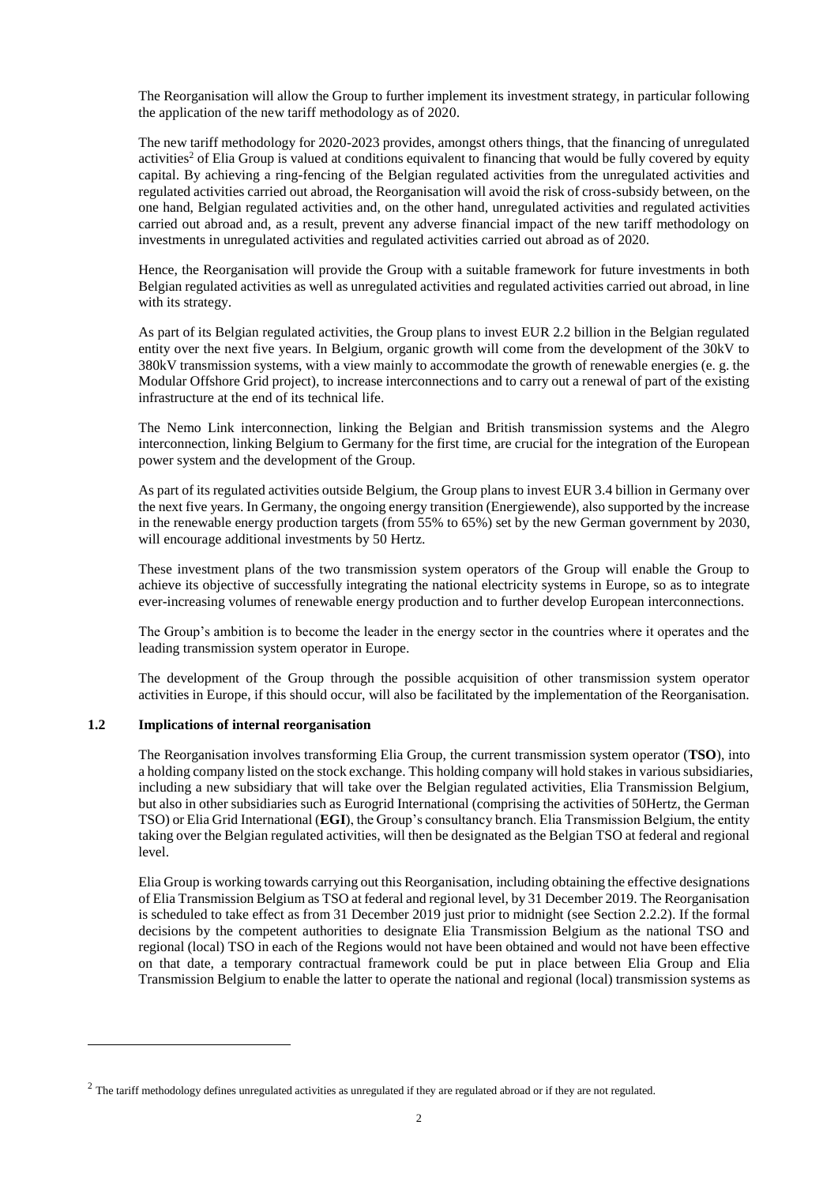The Reorganisation will allow the Group to further implement its investment strategy, in particular following the application of the new tariff methodology as of 2020.

The new tariff methodology for 2020-2023 provides, amongst others things, that the financing of unregulated activities<sup>2</sup> of Elia Group is valued at conditions equivalent to financing that would be fully covered by equity capital. By achieving a ring-fencing of the Belgian regulated activities from the unregulated activities and regulated activities carried out abroad, the Reorganisation will avoid the risk of cross-subsidy between, on the one hand, Belgian regulated activities and, on the other hand, unregulated activities and regulated activities carried out abroad and, as a result, prevent any adverse financial impact of the new tariff methodology on investments in unregulated activities and regulated activities carried out abroad as of 2020.

Hence, the Reorganisation will provide the Group with a suitable framework for future investments in both Belgian regulated activities as well as unregulated activities and regulated activities carried out abroad, in line with its strategy.

As part of its Belgian regulated activities, the Group plans to invest EUR 2.2 billion in the Belgian regulated entity over the next five years. In Belgium, organic growth will come from the development of the 30kV to 380kV transmission systems, with a view mainly to accommodate the growth of renewable energies (e. g. the Modular Offshore Grid project), to increase interconnections and to carry out a renewal of part of the existing infrastructure at the end of its technical life.

The Nemo Link interconnection, linking the Belgian and British transmission systems and the Alegro interconnection, linking Belgium to Germany for the first time, are crucial for the integration of the European power system and the development of the Group.

As part of its regulated activities outside Belgium, the Group plans to invest EUR 3.4 billion in Germany over the next five years. In Germany, the ongoing energy transition (Energiewende), also supported by the increase in the renewable energy production targets (from 55% to 65%) set by the new German government by 2030, will encourage additional investments by 50 Hertz.

These investment plans of the two transmission system operators of the Group will enable the Group to achieve its objective of successfully integrating the national electricity systems in Europe, so as to integrate ever-increasing volumes of renewable energy production and to further develop European interconnections.

The Group's ambition is to become the leader in the energy sector in the countries where it operates and the leading transmission system operator in Europe.

The development of the Group through the possible acquisition of other transmission system operator activities in Europe, if this should occur, will also be facilitated by the implementation of the Reorganisation.

#### **1.2 Implications of internal reorganisation**

 $\overline{a}$ 

The Reorganisation involves transforming Elia Group, the current transmission system operator (**TSO**), into a holding company listed on the stock exchange. This holding company will hold stakes in various subsidiaries, including a new subsidiary that will take over the Belgian regulated activities, Elia Transmission Belgium, but also in other subsidiaries such as Eurogrid International (comprising the activities of 50Hertz, the German TSO) or Elia Grid International (**EGI**), the Group's consultancy branch. Elia Transmission Belgium, the entity taking over the Belgian regulated activities, will then be designated as the Belgian TSO at federal and regional level.

Elia Group is working towards carrying out this Reorganisation, including obtaining the effective designations of Elia Transmission Belgium as TSO at federal and regional level, by 31 December 2019. The Reorganisation is scheduled to take effect as from 31 December 2019 just prior to midnight (see Section 2.2.2). If the formal decisions by the competent authorities to designate Elia Transmission Belgium as the national TSO and regional (local) TSO in each of the Regions would not have been obtained and would not have been effective on that date, a temporary contractual framework could be put in place between Elia Group and Elia Transmission Belgium to enable the latter to operate the national and regional (local) transmission systems as

<sup>&</sup>lt;sup>2</sup> The tariff methodology defines unregulated activities as unregulated if they are regulated abroad or if they are not regulated.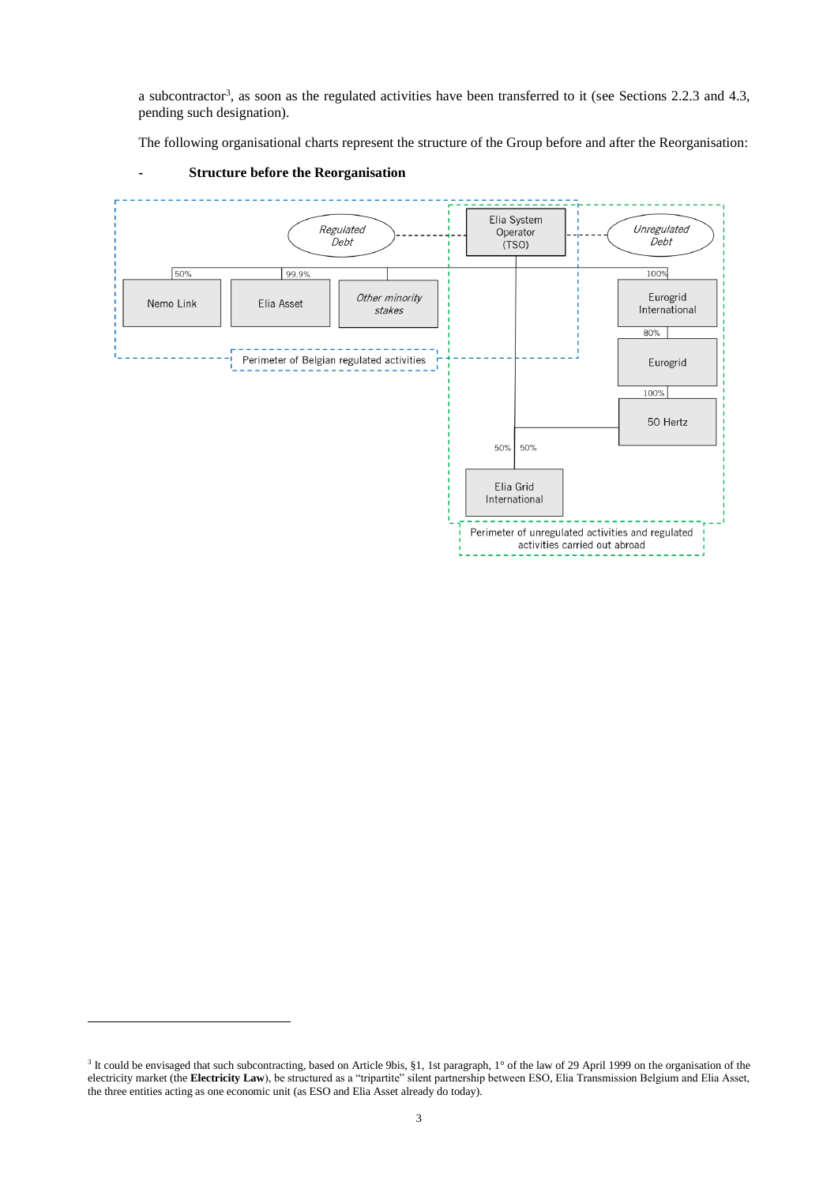a subcontractor<sup>3</sup>, as soon as the regulated activities have been transferred to it (see Sections 2.2.3 and 4.3, pending such designation).

The following organisational charts represent the structure of the Group before and after the Reorganisation:



### **- Structure before the Reorganisation**

 $\overline{a}$ 

<sup>&</sup>lt;sup>3</sup> It could be envisaged that such subcontracting, based on Article 9bis, §1, 1st paragraph, 1° of the law of 29 April 1999 on the organisation of the electricity market (the **Electricity Law**), be structured as a "tripartite" silent partnership between ESO, Elia Transmission Belgium and Elia Asset, the three entities acting as one economic unit (as ESO and Elia Asset already do today).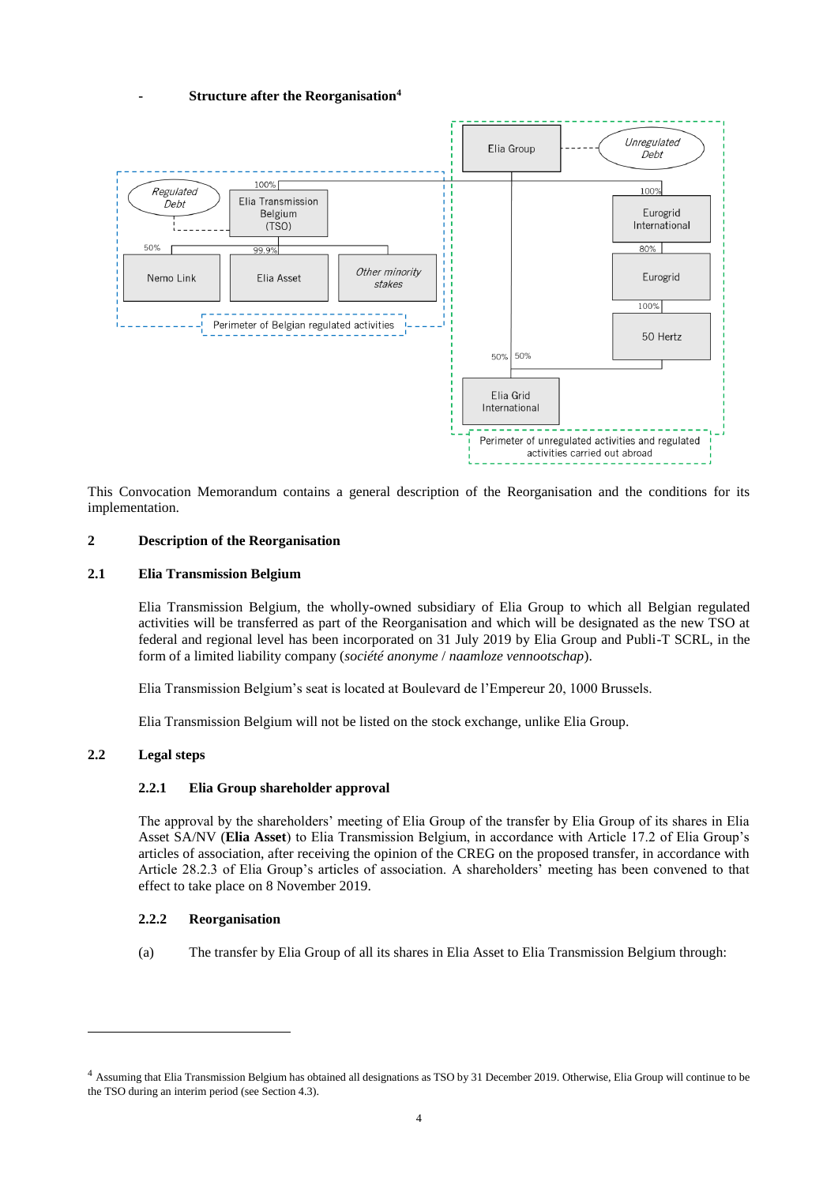# **- Structure after the Reorganisation<sup>4</sup>**



This Convocation Memorandum contains a general description of the Reorganisation and the conditions for its implementation.

# **2 Description of the Reorganisation**

#### **2.1 Elia Transmission Belgium**

Elia Transmission Belgium, the wholly-owned subsidiary of Elia Group to which all Belgian regulated activities will be transferred as part of the Reorganisation and which will be designated as the new TSO at federal and regional level has been incorporated on 31 July 2019 by Elia Group and Publi-T SCRL, in the form of a limited liability company (*société anonyme* / *naamloze vennootschap*).

Elia Transmission Belgium's seat is located at Boulevard de l'Empereur 20, 1000 Brussels.

Elia Transmission Belgium will not be listed on the stock exchange, unlike Elia Group.

# **2.2 Legal steps**

l

#### **2.2.1 Elia Group shareholder approval**

The approval by the shareholders' meeting of Elia Group of the transfer by Elia Group of its shares in Elia Asset SA/NV (**Elia Asset**) to Elia Transmission Belgium, in accordance with Article 17.2 of Elia Group's articles of association, after receiving the opinion of the CREG on the proposed transfer, in accordance with Article 28.2.3 of Elia Group's articles of association. A shareholders' meeting has been convened to that effect to take place on 8 November 2019.

#### **2.2.2 Reorganisation**

(a) The transfer by Elia Group of all its shares in Elia Asset to Elia Transmission Belgium through:

<sup>4</sup> Assuming that Elia Transmission Belgium has obtained all designations as TSO by 31 December 2019. Otherwise, Elia Group will continue to be the TSO during an interim period (see Section 4.3).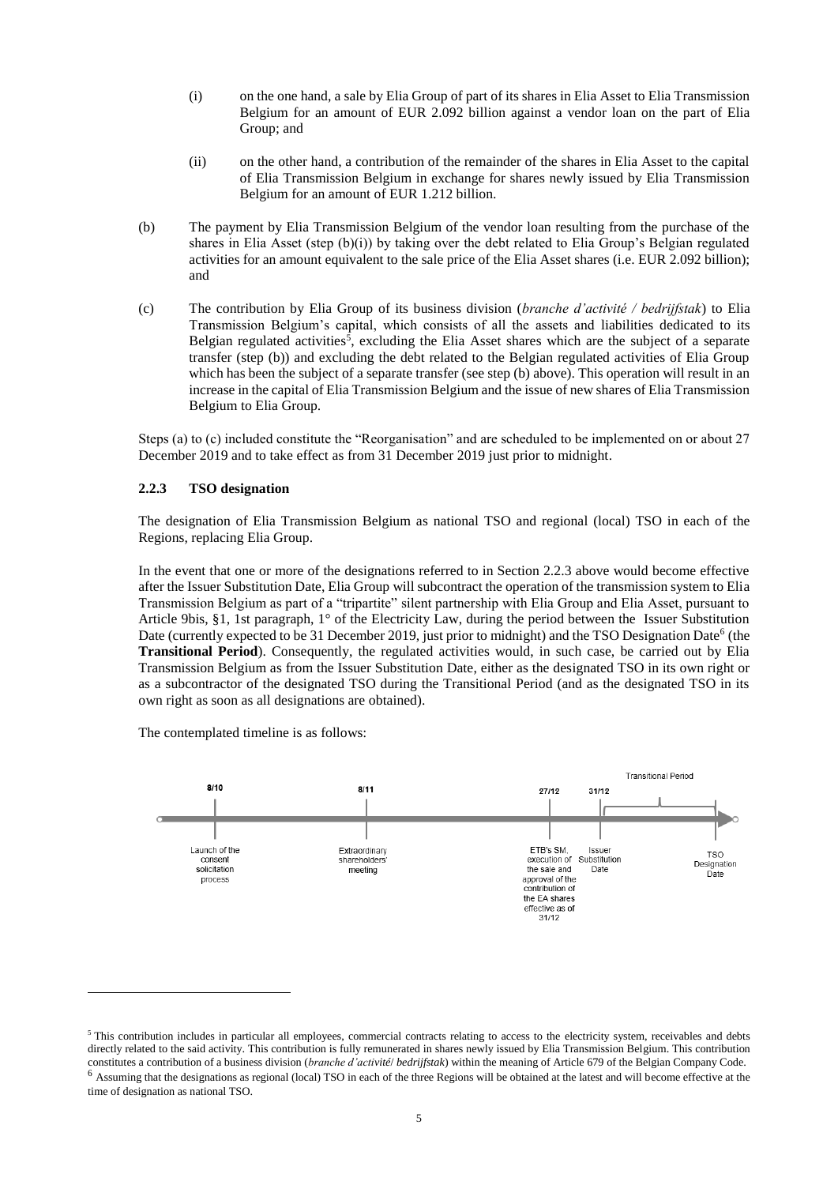- (i) on the one hand, a sale by Elia Group of part of its shares in Elia Asset to Elia Transmission Belgium for an amount of EUR 2.092 billion against a vendor loan on the part of Elia Group; and
- (ii) on the other hand, a contribution of the remainder of the shares in Elia Asset to the capital of Elia Transmission Belgium in exchange for shares newly issued by Elia Transmission Belgium for an amount of EUR 1.212 billion.
- (b) The payment by Elia Transmission Belgium of the vendor loan resulting from the purchase of the shares in Elia Asset (step  $(b)(i)$ ) by taking over the debt related to Elia Group's Belgian regulated activities for an amount equivalent to the sale price of the Elia Asset shares (i.e. EUR 2.092 billion); and
- (c) The contribution by Elia Group of its business division (*branche d'activité / bedrijfstak*) to Elia Transmission Belgium's capital, which consists of all the assets and liabilities dedicated to its Belgian regulated activities<sup>5</sup>, excluding the Elia Asset shares which are the subject of a separate transfer (step (b)) and excluding the debt related to the Belgian regulated activities of Elia Group which has been the subject of a separate transfer (see step (b) above). This operation will result in an increase in the capital of Elia Transmission Belgium and the issue of new shares of Elia Transmission Belgium to Elia Group.

Steps (a) to (c) included constitute the "Reorganisation" and are scheduled to be implemented on or about 27 December 2019 and to take effect as from 31 December 2019 just prior to midnight.

# **2.2.3 TSO designation**

The designation of Elia Transmission Belgium as national TSO and regional (local) TSO in each of the Regions, replacing Elia Group.

In the event that one or more of the designations referred to in Section 2.2.3 above would become effective after the Issuer Substitution Date, Elia Group will subcontract the operation of the transmission system to Elia Transmission Belgium as part of a "tripartite" silent partnership with Elia Group and Elia Asset, pursuant to Article 9bis, §1, 1st paragraph, 1° of the Electricity Law, during the period between the Issuer Substitution Date (currently expected to be 31 December 2019, just prior to midnight) and the TSO Designation Date<sup>6</sup> (the **Transitional Period**). Consequently, the regulated activities would, in such case, be carried out by Elia Transmission Belgium as from the Issuer Substitution Date, either as the designated TSO in its own right or as a subcontractor of the designated TSO during the Transitional Period (and as the designated TSO in its own right as soon as all designations are obtained).

The contemplated timeline is as follows:

 $\overline{a}$ 



<sup>&</sup>lt;sup>5</sup> This contribution includes in particular all employees, commercial contracts relating to access to the electricity system, receivables and debts directly related to the said activity. This contribution is fully remunerated in shares newly issued by Elia Transmission Belgium. This contribution constitutes a contribution of a business division (*branche d'activité*/ *bedrijfstak*) within the meaning of Article 679 of the Belgian Company Code. <sup>6</sup> Assuming that the designations as regional (local) TSO in each of the three Regions will be obtained at the latest and will become effective at the time of designation as national TSO.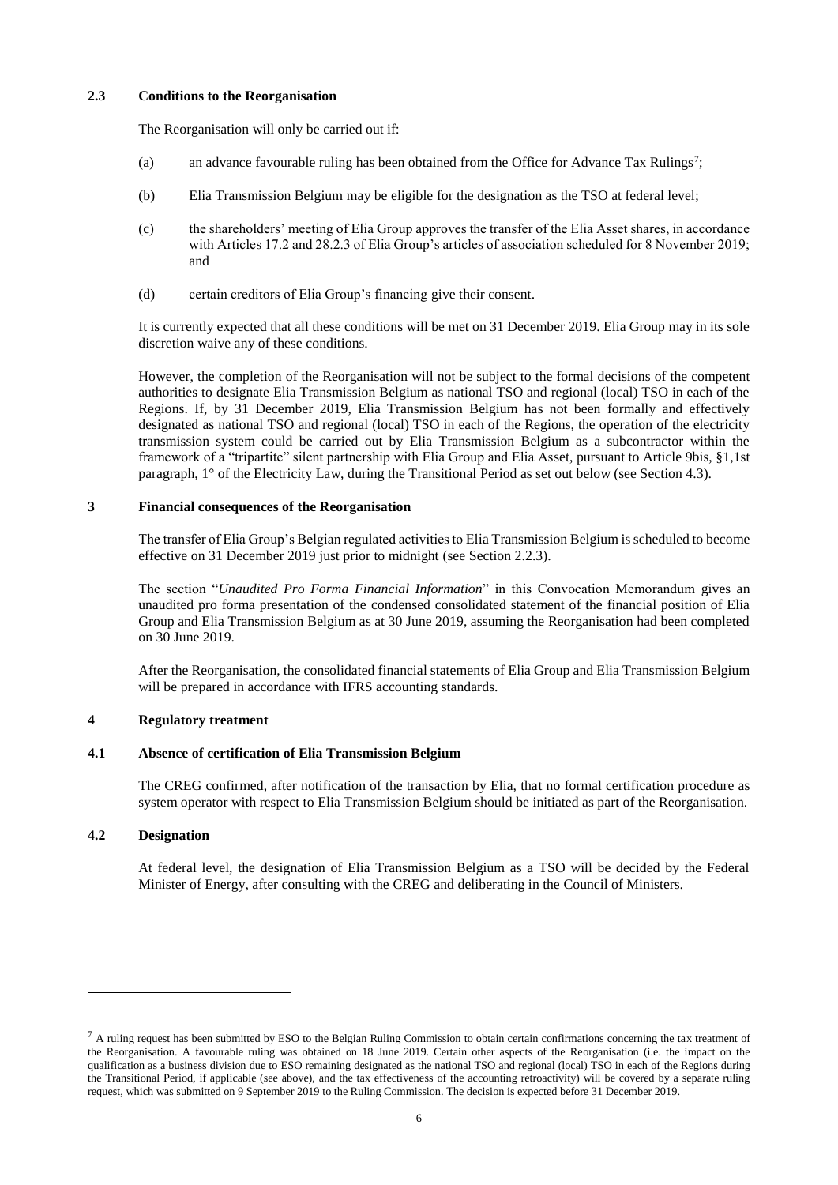# **2.3 Conditions to the Reorganisation**

The Reorganisation will only be carried out if:

- (a) an advance favourable ruling has been obtained from the Office for Advance Tax Rulings<sup>7</sup>;
- (b) Elia Transmission Belgium may be eligible for the designation as the TSO at federal level;
- (c) the shareholders' meeting of Elia Group approves the transfer of the Elia Asset shares, in accordance with Articles 17.2 and 28.2.3 of Elia Group's articles of association scheduled for 8 November 2019; and
- (d) certain creditors of Elia Group's financing give their consent.

It is currently expected that all these conditions will be met on 31 December 2019. Elia Group may in its sole discretion waive any of these conditions.

However, the completion of the Reorganisation will not be subject to the formal decisions of the competent authorities to designate Elia Transmission Belgium as national TSO and regional (local) TSO in each of the Regions. If, by 31 December 2019, Elia Transmission Belgium has not been formally and effectively designated as national TSO and regional (local) TSO in each of the Regions, the operation of the electricity transmission system could be carried out by Elia Transmission Belgium as a subcontractor within the framework of a "tripartite" silent partnership with Elia Group and Elia Asset, pursuant to Article 9bis, §1,1st paragraph, 1° of the Electricity Law, during the Transitional Period as set out below (see Section 4.3).

# **3 Financial consequences of the Reorganisation**

The transfer of Elia Group's Belgian regulated activities to Elia Transmission Belgium is scheduled to become effective on 31 December 2019 just prior to midnight (see Section 2.2.3).

The section "*Unaudited Pro Forma Financial Information*" in this Convocation Memorandum gives an unaudited pro forma presentation of the condensed consolidated statement of the financial position of Elia Group and Elia Transmission Belgium as at 30 June 2019, assuming the Reorganisation had been completed on 30 June 2019.

After the Reorganisation, the consolidated financial statements of Elia Group and Elia Transmission Belgium will be prepared in accordance with IFRS accounting standards.

#### **4 Regulatory treatment**

#### **4.1 Absence of certification of Elia Transmission Belgium**

The CREG confirmed, after notification of the transaction by Elia, that no formal certification procedure as system operator with respect to Elia Transmission Belgium should be initiated as part of the Reorganisation.

### **4.2 Designation**

 $\overline{a}$ 

At federal level, the designation of Elia Transmission Belgium as a TSO will be decided by the Federal Minister of Energy, after consulting with the CREG and deliberating in the Council of Ministers.

 $<sup>7</sup>$  A ruling request has been submitted by ESO to the Belgian Ruling Commission to obtain certain confirmations concerning the tax treatment of</sup> the Reorganisation. A favourable ruling was obtained on 18 June 2019. Certain other aspects of the Reorganisation (i.e. the impact on the qualification as a business division due to ESO remaining designated as the national TSO and regional (local) TSO in each of the Regions during the Transitional Period, if applicable (see above), and the tax effectiveness of the accounting retroactivity) will be covered by a separate ruling request, which was submitted on 9 September 2019 to the Ruling Commission. The decision is expected before 31 December 2019.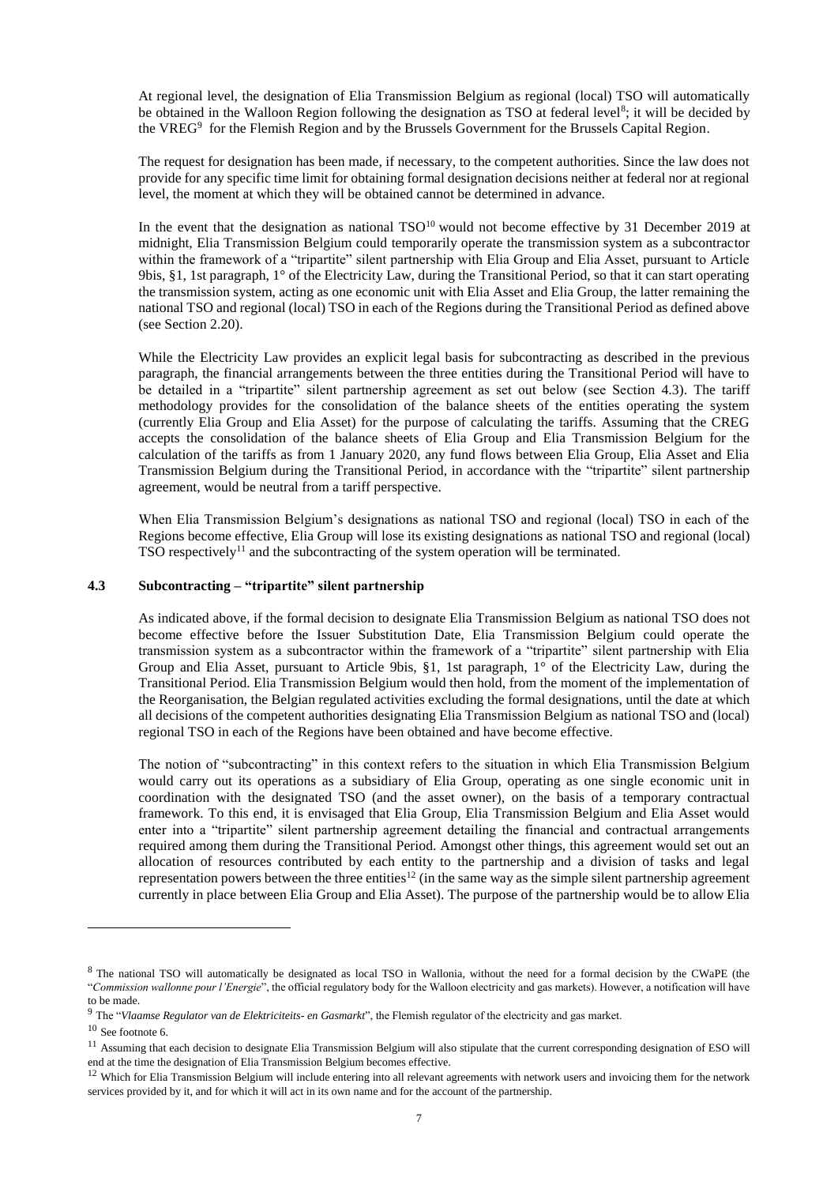At regional level, the designation of Elia Transmission Belgium as regional (local) TSO will automatically be obtained in the Walloon Region following the designation as TSO at federal level<sup>8</sup>; it will be decided by the VREG<sup>9</sup> for the Flemish Region and by the Brussels Government for the Brussels Capital Region.

The request for designation has been made, if necessary, to the competent authorities. Since the law does not provide for any specific time limit for obtaining formal designation decisions neither at federal nor at regional level, the moment at which they will be obtained cannot be determined in advance.

In the event that the designation as national TSO<sup>10</sup> would not become effective by 31 December 2019 at midnight, Elia Transmission Belgium could temporarily operate the transmission system as a subcontractor within the framework of a "tripartite" silent partnership with Elia Group and Elia Asset, pursuant to Article 9bis, §1, 1st paragraph, 1° of the Electricity Law, during the Transitional Period, so that it can start operating the transmission system, acting as one economic unit with Elia Asset and Elia Group, the latter remaining the national TSO and regional (local) TSO in each of the Regions during the Transitional Period as defined above (see Section 2.20).

While the Electricity Law provides an explicit legal basis for subcontracting as described in the previous paragraph, the financial arrangements between the three entities during the Transitional Period will have to be detailed in a "tripartite" silent partnership agreement as set out below (see Section 4.3). The tariff methodology provides for the consolidation of the balance sheets of the entities operating the system (currently Elia Group and Elia Asset) for the purpose of calculating the tariffs. Assuming that the CREG accepts the consolidation of the balance sheets of Elia Group and Elia Transmission Belgium for the calculation of the tariffs as from 1 January 2020, any fund flows between Elia Group, Elia Asset and Elia Transmission Belgium during the Transitional Period, in accordance with the "tripartite" silent partnership agreement, would be neutral from a tariff perspective.

When Elia Transmission Belgium's designations as national TSO and regional (local) TSO in each of the Regions become effective, Elia Group will lose its existing designations as national TSO and regional (local)  $TSO$  respectively<sup>11</sup> and the subcontracting of the system operation will be terminated.

#### **4.3 Subcontracting – "tripartite" silent partnership**

As indicated above, if the formal decision to designate Elia Transmission Belgium as national TSO does not become effective before the Issuer Substitution Date, Elia Transmission Belgium could operate the transmission system as a subcontractor within the framework of a "tripartite" silent partnership with Elia Group and Elia Asset, pursuant to Article 9bis, §1, 1st paragraph, 1° of the Electricity Law, during the Transitional Period. Elia Transmission Belgium would then hold, from the moment of the implementation of the Reorganisation, the Belgian regulated activities excluding the formal designations, until the date at which all decisions of the competent authorities designating Elia Transmission Belgium as national TSO and (local) regional TSO in each of the Regions have been obtained and have become effective.

The notion of "subcontracting" in this context refers to the situation in which Elia Transmission Belgium would carry out its operations as a subsidiary of Elia Group, operating as one single economic unit in coordination with the designated TSO (and the asset owner), on the basis of a temporary contractual framework. To this end, it is envisaged that Elia Group, Elia Transmission Belgium and Elia Asset would enter into a "tripartite" silent partnership agreement detailing the financial and contractual arrangements required among them during the Transitional Period. Amongst other things, this agreement would set out an allocation of resources contributed by each entity to the partnership and a division of tasks and legal representation powers between the three entities<sup>12</sup> (in the same way as the simple silent partnership agreement currently in place between Elia Group and Elia Asset). The purpose of the partnership would be to allow Elia

 $\overline{a}$ 

<sup>8</sup> The national TSO will automatically be designated as local TSO in Wallonia, without the need for a formal decision by the CWaPE (the "*Commission wallonne pour l'Energie*", the official regulatory body for the Walloon electricity and gas markets). However, a notification will have to be made.

<sup>9</sup> The "*Vlaamse Regulator van de Elektriciteits- en Gasmarkt*", the Flemish regulator of the electricity and gas market.

<sup>10</sup> See footnote 6.

<sup>&</sup>lt;sup>11</sup> Assuming that each decision to designate Elia Transmission Belgium will also stipulate that the current corresponding designation of ESO will end at the time the designation of Elia Transmission Belgium becomes effective.

<sup>&</sup>lt;sup>12</sup> Which for Elia Transmission Belgium will include entering into all relevant agreements with network users and invoicing them for the network services provided by it, and for which it will act in its own name and for the account of the partnership.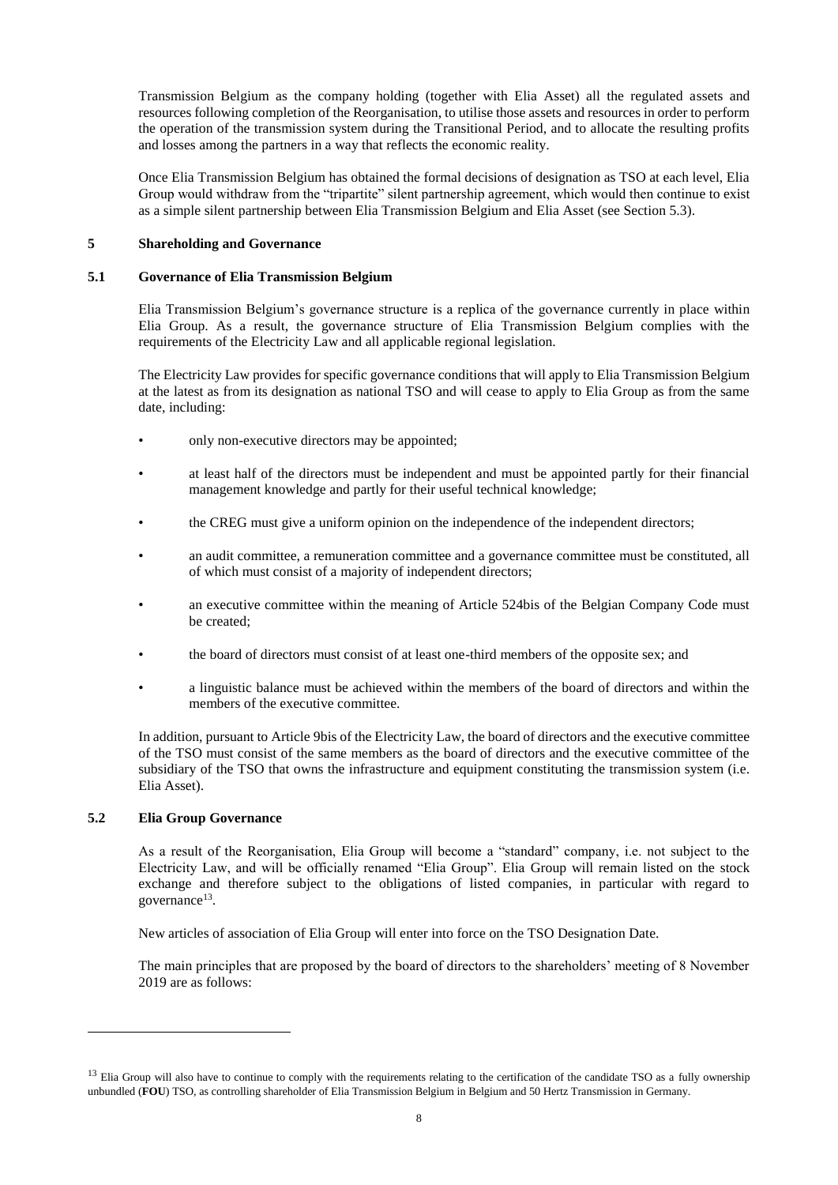Transmission Belgium as the company holding (together with Elia Asset) all the regulated assets and resources following completion of the Reorganisation, to utilise those assets and resources in order to perform the operation of the transmission system during the Transitional Period, and to allocate the resulting profits and losses among the partners in a way that reflects the economic reality.

Once Elia Transmission Belgium has obtained the formal decisions of designation as TSO at each level, Elia Group would withdraw from the "tripartite" silent partnership agreement, which would then continue to exist as a simple silent partnership between Elia Transmission Belgium and Elia Asset (see Section 5.3).

# **5 Shareholding and Governance**

#### **5.1 Governance of Elia Transmission Belgium**

Elia Transmission Belgium's governance structure is a replica of the governance currently in place within Elia Group. As a result, the governance structure of Elia Transmission Belgium complies with the requirements of the Electricity Law and all applicable regional legislation.

The Electricity Law provides for specific governance conditions that will apply to Elia Transmission Belgium at the latest as from its designation as national TSO and will cease to apply to Elia Group as from the same date, including:

- only non-executive directors may be appointed;
- at least half of the directors must be independent and must be appointed partly for their financial management knowledge and partly for their useful technical knowledge;
- the CREG must give a uniform opinion on the independence of the independent directors;
- an audit committee, a remuneration committee and a governance committee must be constituted, all of which must consist of a majority of independent directors;
- an executive committee within the meaning of Article 524bis of the Belgian Company Code must be created;
- the board of directors must consist of at least one-third members of the opposite sex; and
- a linguistic balance must be achieved within the members of the board of directors and within the members of the executive committee.

In addition, pursuant to Article 9bis of the Electricity Law, the board of directors and the executive committee of the TSO must consist of the same members as the board of directors and the executive committee of the subsidiary of the TSO that owns the infrastructure and equipment constituting the transmission system (i.e. Elia Asset).

# **5.2 Elia Group Governance**

l

As a result of the Reorganisation, Elia Group will become a "standard" company, i.e. not subject to the Electricity Law, and will be officially renamed "Elia Group". Elia Group will remain listed on the stock exchange and therefore subject to the obligations of listed companies, in particular with regard to governance<sup>13</sup>.

New articles of association of Elia Group will enter into force on the TSO Designation Date.

The main principles that are proposed by the board of directors to the shareholders' meeting of 8 November 2019 are as follows:

<sup>&</sup>lt;sup>13</sup> Elia Group will also have to continue to comply with the requirements relating to the certification of the candidate TSO as a fully ownership unbundled (**FOU**) TSO, as controlling shareholder of Elia Transmission Belgium in Belgium and 50 Hertz Transmission in Germany.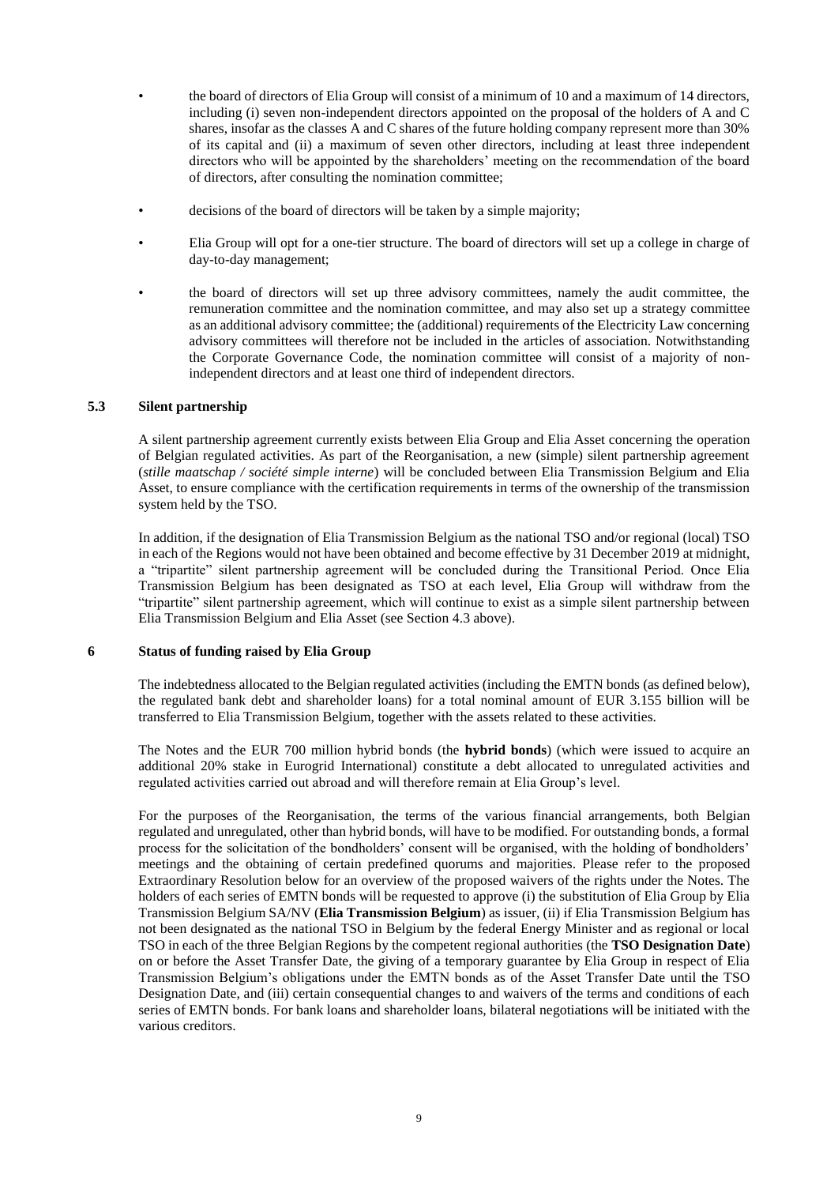- the board of directors of Elia Group will consist of a minimum of 10 and a maximum of 14 directors, including (i) seven non-independent directors appointed on the proposal of the holders of A and C shares, insofar as the classes A and C shares of the future holding company represent more than 30% of its capital and (ii) a maximum of seven other directors, including at least three independent directors who will be appointed by the shareholders' meeting on the recommendation of the board of directors, after consulting the nomination committee;
- decisions of the board of directors will be taken by a simple majority;
- Elia Group will opt for a one-tier structure. The board of directors will set up a college in charge of day-to-day management;
- the board of directors will set up three advisory committees, namely the audit committee, the remuneration committee and the nomination committee, and may also set up a strategy committee as an additional advisory committee; the (additional) requirements of the Electricity Law concerning advisory committees will therefore not be included in the articles of association. Notwithstanding the Corporate Governance Code, the nomination committee will consist of a majority of nonindependent directors and at least one third of independent directors.

### **5.3 Silent partnership**

A silent partnership agreement currently exists between Elia Group and Elia Asset concerning the operation of Belgian regulated activities. As part of the Reorganisation, a new (simple) silent partnership agreement (*stille maatschap / société simple interne*) will be concluded between Elia Transmission Belgium and Elia Asset, to ensure compliance with the certification requirements in terms of the ownership of the transmission system held by the TSO.

In addition, if the designation of Elia Transmission Belgium as the national TSO and/or regional (local) TSO in each of the Regions would not have been obtained and become effective by 31 December 2019 at midnight, a "tripartite" silent partnership agreement will be concluded during the Transitional Period. Once Elia Transmission Belgium has been designated as TSO at each level, Elia Group will withdraw from the "tripartite" silent partnership agreement, which will continue to exist as a simple silent partnership between Elia Transmission Belgium and Elia Asset (see Section 4.3 above).

# **6 Status of funding raised by Elia Group**

The indebtedness allocated to the Belgian regulated activities (including the EMTN bonds (as defined below), the regulated bank debt and shareholder loans) for a total nominal amount of EUR 3.155 billion will be transferred to Elia Transmission Belgium, together with the assets related to these activities.

The Notes and the EUR 700 million hybrid bonds (the **hybrid bonds**) (which were issued to acquire an additional 20% stake in Eurogrid International) constitute a debt allocated to unregulated activities and regulated activities carried out abroad and will therefore remain at Elia Group's level.

For the purposes of the Reorganisation, the terms of the various financial arrangements, both Belgian regulated and unregulated, other than hybrid bonds, will have to be modified. For outstanding bonds, a formal process for the solicitation of the bondholders' consent will be organised, with the holding of bondholders' meetings and the obtaining of certain predefined quorums and majorities. Please refer to the proposed Extraordinary Resolution below for an overview of the proposed waivers of the rights under the Notes. The holders of each series of EMTN bonds will be requested to approve (i) the substitution of Elia Group by Elia Transmission Belgium SA/NV (**Elia Transmission Belgium**) as issuer, (ii) if Elia Transmission Belgium has not been designated as the national TSO in Belgium by the federal Energy Minister and as regional or local TSO in each of the three Belgian Regions by the competent regional authorities (the **TSO Designation Date**) on or before the Asset Transfer Date, the giving of a temporary guarantee by Elia Group in respect of Elia Transmission Belgium's obligations under the EMTN bonds as of the Asset Transfer Date until the TSO Designation Date, and (iii) certain consequential changes to and waivers of the terms and conditions of each series of EMTN bonds. For bank loans and shareholder loans, bilateral negotiations will be initiated with the various creditors.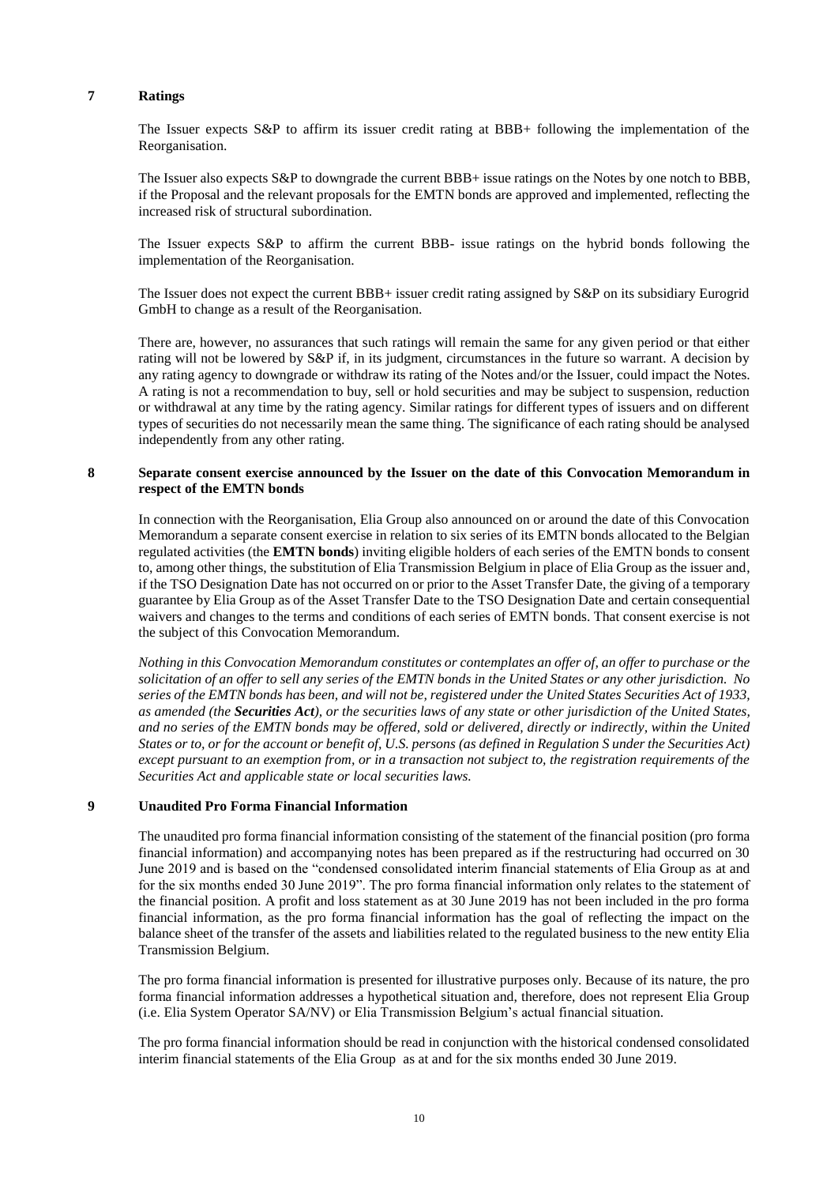#### **7 Ratings**

The Issuer expects S&P to affirm its issuer credit rating at BBB+ following the implementation of the Reorganisation.

The Issuer also expects S&P to downgrade the current BBB+ issue ratings on the Notes by one notch to BBB, if the Proposal and the relevant proposals for the EMTN bonds are approved and implemented, reflecting the increased risk of structural subordination.

The Issuer expects S&P to affirm the current BBB- issue ratings on the hybrid bonds following the implementation of the Reorganisation.

The Issuer does not expect the current BBB+ issuer credit rating assigned by S&P on its subsidiary Eurogrid GmbH to change as a result of the Reorganisation.

There are, however, no assurances that such ratings will remain the same for any given period or that either rating will not be lowered by S&P if, in its judgment, circumstances in the future so warrant. A decision by any rating agency to downgrade or withdraw its rating of the Notes and/or the Issuer, could impact the Notes. A rating is not a recommendation to buy, sell or hold securities and may be subject to suspension, reduction or withdrawal at any time by the rating agency. Similar ratings for different types of issuers and on different types of securities do not necessarily mean the same thing. The significance of each rating should be analysed independently from any other rating.

### **8 Separate consent exercise announced by the Issuer on the date of this Convocation Memorandum in respect of the EMTN bonds**

In connection with the Reorganisation, Elia Group also announced on or around the date of this Convocation Memorandum a separate consent exercise in relation to six series of its EMTN bonds allocated to the Belgian regulated activities (the **EMTN bonds**) inviting eligible holders of each series of the EMTN bonds to consent to, among other things, the substitution of Elia Transmission Belgium in place of Elia Group as the issuer and, if the TSO Designation Date has not occurred on or prior to the Asset Transfer Date, the giving of a temporary guarantee by Elia Group as of the Asset Transfer Date to the TSO Designation Date and certain consequential waivers and changes to the terms and conditions of each series of EMTN bonds. That consent exercise is not the subject of this Convocation Memorandum.

*Nothing in this Convocation Memorandum constitutes or contemplates an offer of, an offer to purchase or the solicitation of an offer to sell any series of the EMTN bonds in the United States or any other jurisdiction. No series of the EMTN bonds has been, and will not be, registered under the United States Securities Act of 1933, as amended (the Securities Act), or the securities laws of any state or other jurisdiction of the United States, and no series of the EMTN bonds may be offered, sold or delivered, directly or indirectly, within the United States or to, or for the account or benefit of, U.S. persons (as defined in Regulation S under the Securities Act) except pursuant to an exemption from, or in a transaction not subject to, the registration requirements of the Securities Act and applicable state or local securities laws.*

#### **9 Unaudited Pro Forma Financial Information**

The unaudited pro forma financial information consisting of the statement of the financial position (pro forma financial information) and accompanying notes has been prepared as if the restructuring had occurred on 30 June 2019 and is based on the "condensed consolidated interim financial statements of Elia Group as at and for the six months ended 30 June 2019". The pro forma financial information only relates to the statement of the financial position. A profit and loss statement as at 30 June 2019 has not been included in the pro forma financial information, as the pro forma financial information has the goal of reflecting the impact on the balance sheet of the transfer of the assets and liabilities related to the regulated business to the new entity Elia Transmission Belgium.

The pro forma financial information is presented for illustrative purposes only. Because of its nature, the pro forma financial information addresses a hypothetical situation and, therefore, does not represent Elia Group (i.e. Elia System Operator SA/NV) or Elia Transmission Belgium's actual financial situation.

The pro forma financial information should be read in conjunction with the historical condensed consolidated interim financial statements of the Elia Group as at and for the six months ended 30 June 2019.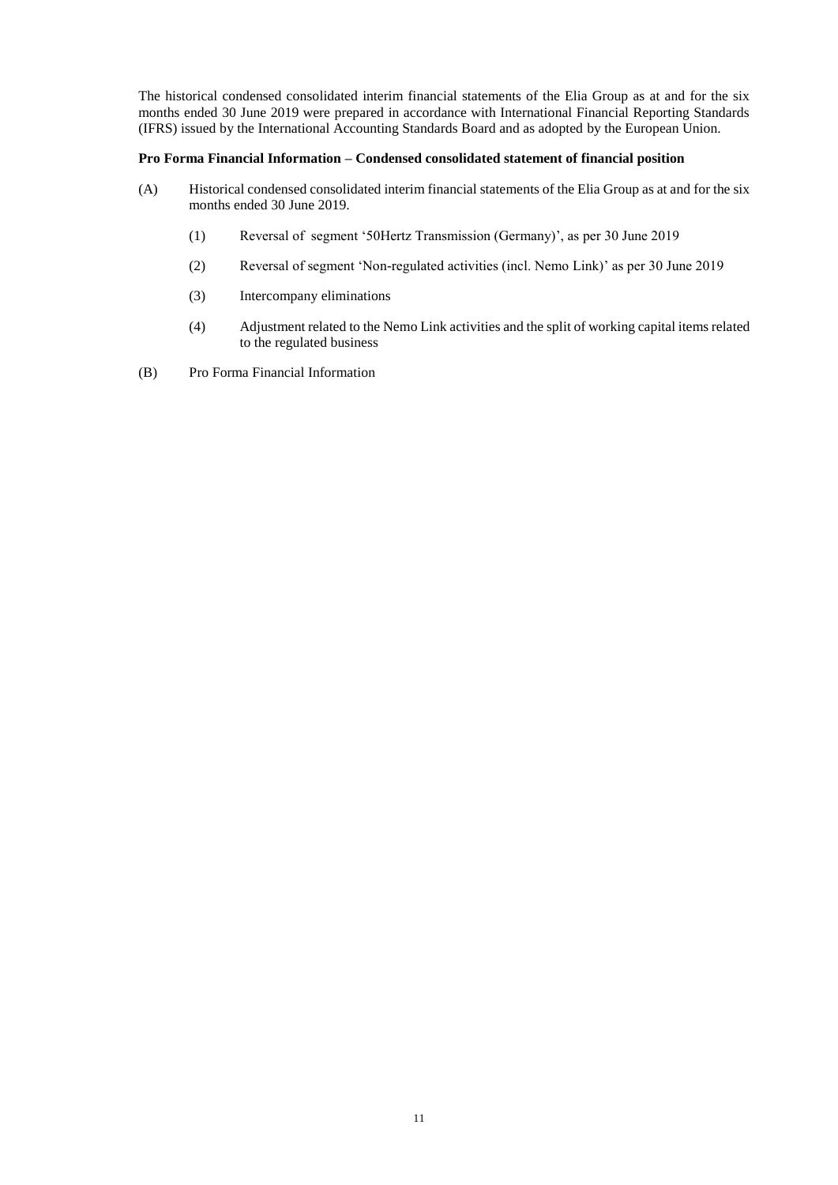The historical condensed consolidated interim financial statements of the Elia Group as at and for the six months ended 30 June 2019 were prepared in accordance with International Financial Reporting Standards (IFRS) issued by the International Accounting Standards Board and as adopted by the European Union.

# **Pro Forma Financial Information – Condensed consolidated statement of financial position**

- (A) Historical condensed consolidated interim financial statements of the Elia Group as at and for the six months ended 30 June 2019.
	- (1) Reversal of segment '50Hertz Transmission (Germany)', as per 30 June 2019
	- (2) Reversal of segment 'Non-regulated activities (incl. Nemo Link)' as per 30 June 2019
	- (3) Intercompany eliminations
	- (4) Adjustment related to the Nemo Link activities and the split of working capital items related to the regulated business
- (B) Pro Forma Financial Information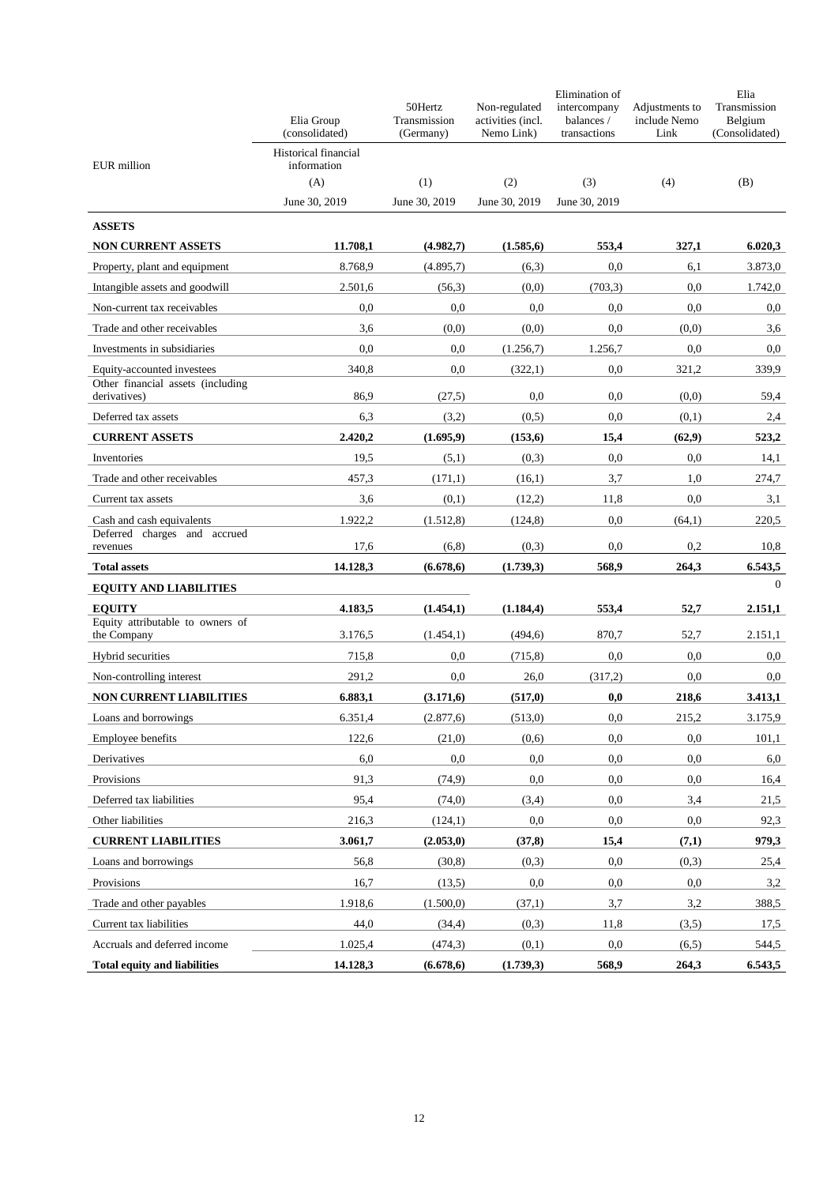|                                                   | Elia Group<br>(consolidated) | 50Hertz<br>Transmission<br>(Germany) | Non-regulated<br>activities (incl.<br>Nemo Link) | Elimination of<br>intercompany<br>balances /<br>transactions | Adjustments to<br>include Nemo<br>Link | Elia<br>Transmission<br>Belgium<br>(Consolidated) |  |
|---------------------------------------------------|------------------------------|--------------------------------------|--------------------------------------------------|--------------------------------------------------------------|----------------------------------------|---------------------------------------------------|--|
|                                                   | Historical financial         |                                      |                                                  |                                                              |                                        |                                                   |  |
| EUR million                                       | information<br>(A)           | (1)                                  | (2)                                              | (3)                                                          | (4)                                    | (B)                                               |  |
|                                                   | June 30, 2019                | June 30, 2019                        | June 30, 2019                                    | June 30, 2019                                                |                                        |                                                   |  |
| <b>ASSETS</b>                                     |                              |                                      |                                                  |                                                              |                                        |                                                   |  |
| <b>NON CURRENT ASSETS</b>                         | 11.708,1                     | (4.982,7)                            | (1.585, 6)                                       | 553,4                                                        | 327,1                                  | 6.020,3                                           |  |
| Property, plant and equipment                     | 8.768,9                      | (4.895,7)                            | (6,3)                                            | 0,0                                                          | 6,1                                    | 3.873,0                                           |  |
| Intangible assets and goodwill                    | 2.501,6                      | (56,3)                               | (0,0)                                            | (703, 3)                                                     | 0.0                                    | 1.742,0                                           |  |
| Non-current tax receivables                       | 0.0                          | 0.0                                  | 0.0                                              | 0.0                                                          | 0,0                                    | 0,0                                               |  |
| Trade and other receivables                       | 3,6                          | (0,0)                                | (0,0)                                            | 0.0                                                          | (0,0)                                  | 3,6                                               |  |
| Investments in subsidiaries                       | 0,0                          | 0,0                                  | (1.256,7)                                        | 1.256,7                                                      | 0,0                                    | 0.0                                               |  |
| Equity-accounted investees                        | 340,8                        | 0.0                                  | (322,1)                                          | 0,0                                                          | 321,2                                  | 339,9                                             |  |
| Other financial assets (including<br>derivatives) | 86.9                         | (27,5)                               | 0.0                                              | 0.0                                                          | (0,0)                                  | 59,4                                              |  |
| Deferred tax assets                               | 6,3                          | (3,2)                                | (0,5)                                            | 0.0                                                          | (0,1)                                  | 2,4                                               |  |
| <b>CURRENT ASSETS</b>                             | 2.420,2                      | (1.695, 9)                           | (153,6)                                          | 15,4                                                         | (62,9)                                 | 523,2                                             |  |
| Inventories                                       | 19,5                         | (5,1)                                | (0,3)                                            | 0,0                                                          | 0,0                                    | 14,1                                              |  |
| Trade and other receivables                       | 457,3                        | (171,1)                              | (16,1)                                           | 3,7                                                          | 1,0                                    | 274,7                                             |  |
| Current tax assets                                | 3,6                          | (0,1)                                | (12,2)                                           | 11,8                                                         | 0,0                                    | 3,1                                               |  |
| Cash and cash equivalents                         | 1.922,2                      | (1.512,8)                            | (124, 8)                                         | 0.0                                                          | (64,1)                                 | 220,5                                             |  |
| Deferred charges and accrued                      | 17,6                         |                                      |                                                  | 0,0                                                          | 0,2                                    |                                                   |  |
| revenues<br><b>Total assets</b>                   | 14.128,3                     | (6,8)<br>(6.678, 6)                  | (0,3)<br>(1.739,3)                               | 568,9                                                        | 264,3                                  | 10,8<br>6.543,5                                   |  |
| <b>EQUITY AND LIABILITIES</b>                     |                              |                                      |                                                  |                                                              |                                        | $\Omega$                                          |  |
| <b>EQUITY</b>                                     | 4.183,5                      | (1.454,1)                            | (1.184, 4)                                       | 553,4                                                        | 52,7                                   | 2.151,1                                           |  |
| Equity attributable to owners of                  |                              |                                      |                                                  |                                                              |                                        |                                                   |  |
| the Company                                       | 3.176,5                      | (1.454,1)                            | (494.6)                                          | 870,7                                                        | 52,7                                   | 2.151,1                                           |  |
| Hybrid securities                                 | 715,8                        | 0.0                                  | (715, 8)                                         | 0,0                                                          | 0,0                                    | 0.0                                               |  |
| Non-controlling interest                          | 291,2                        | 0.0                                  | 26,0                                             | (317,2)                                                      | 0,0                                    | 0.0                                               |  |
| <b>NON CURRENT LIABILITIES</b>                    | 6.883,1                      | (3.171,6)                            | (517,0)                                          | 0,0                                                          | 218,6                                  | 3.413,1                                           |  |
| Loans and borrowings                              | 6.351,4                      | (2.877,6)                            | (513,0)                                          | 0.0                                                          | 215,2                                  | 3.175,9                                           |  |
| Employee benefits                                 | 122,6                        | (21,0)                               | (0,6)                                            | 0,0                                                          | 0,0                                    | 101,1                                             |  |
| Derivatives                                       | 6,0                          | 0,0                                  | 0,0                                              | 0,0                                                          | 0,0                                    | 6,0                                               |  |
| Provisions                                        | 91,3<br>95,4                 | (74, 9)                              | 0,0                                              | 0,0                                                          | 0,0                                    | 16,4                                              |  |
| Deferred tax liabilities<br>Other liabilities     |                              | (74,0)                               | (3,4)<br>0,0                                     | 0,0<br>0,0                                                   | 3,4<br>0,0                             | 21,5                                              |  |
| <b>CURRENT LIABILITIES</b>                        | 216,3<br>3.061,7             | (124,1)<br>(2.053, 0)                | (37,8)                                           | 15,4                                                         | (7,1)                                  | 92,3<br>979,3                                     |  |
| Loans and borrowings                              | 56,8                         | (30, 8)                              | (0,3)                                            | 0,0                                                          | (0,3)                                  | 25,4                                              |  |
| Provisions                                        | 16,7                         | (13,5)                               | 0,0                                              | 0,0                                                          | 0,0                                    | 3,2                                               |  |
| Trade and other payables                          | 1.918,6                      | (1.500,0)                            | (37,1)                                           | 3,7                                                          | 3,2                                    | 388,5                                             |  |
| Current tax liabilities                           | 44,0                         | (34,4)                               | (0,3)                                            | 11,8                                                         | (3,5)                                  | 17,5                                              |  |
| Accruals and deferred income                      | 1.025,4                      | (474, 3)                             | (0,1)                                            | 0,0                                                          | (6,5)                                  | 544,5                                             |  |
| <b>Total equity and liabilities</b>               | 14.128,3                     | (6.678, 6)                           | (1.739,3)                                        | 568,9                                                        | 264,3                                  | 6.543,5                                           |  |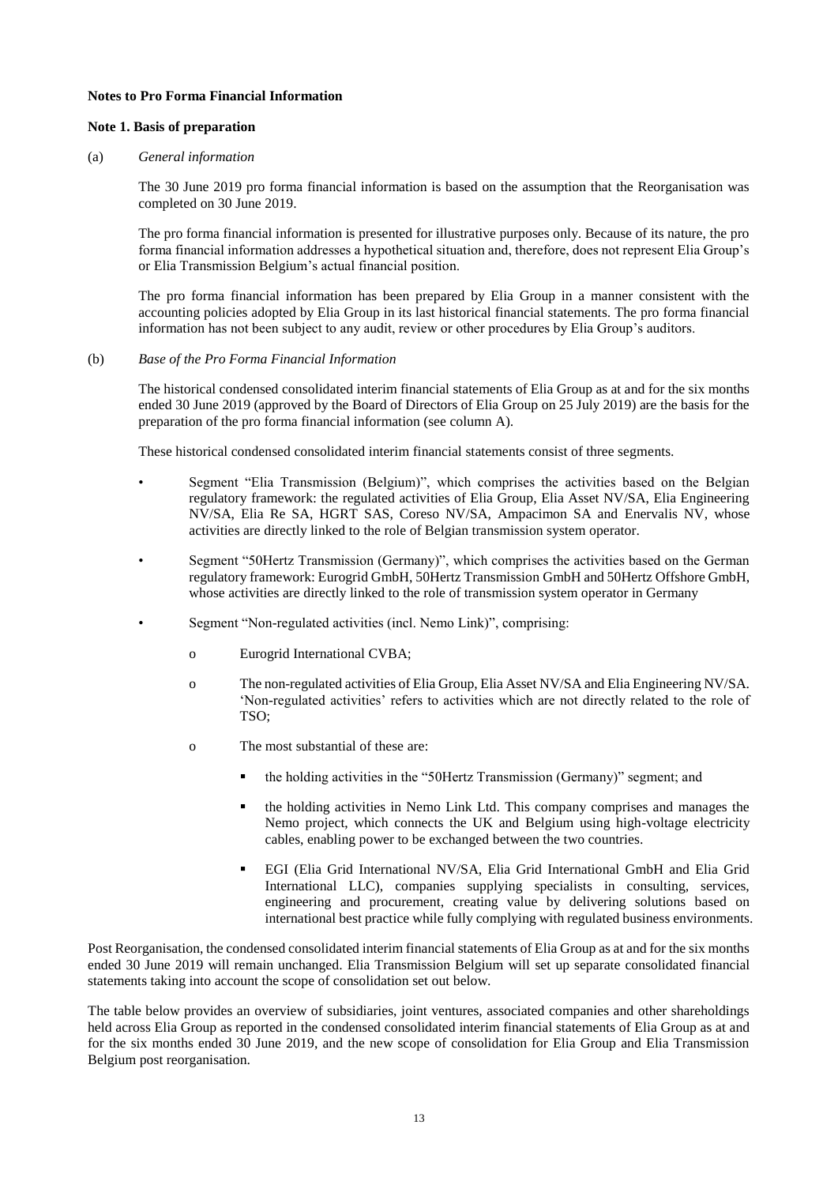### **Notes to Pro Forma Financial Information**

### **Note 1. Basis of preparation**

#### (a) *General information*

The 30 June 2019 pro forma financial information is based on the assumption that the Reorganisation was completed on 30 June 2019.

The pro forma financial information is presented for illustrative purposes only. Because of its nature, the pro forma financial information addresses a hypothetical situation and, therefore, does not represent Elia Group's or Elia Transmission Belgium's actual financial position.

The pro forma financial information has been prepared by Elia Group in a manner consistent with the accounting policies adopted by Elia Group in its last historical financial statements. The pro forma financial information has not been subject to any audit, review or other procedures by Elia Group's auditors.

#### (b) *Base of the Pro Forma Financial Information*

The historical condensed consolidated interim financial statements of Elia Group as at and for the six months ended 30 June 2019 (approved by the Board of Directors of Elia Group on 25 July 2019) are the basis for the preparation of the pro forma financial information (see column A).

These historical condensed consolidated interim financial statements consist of three segments.

- Segment "Elia Transmission (Belgium)", which comprises the activities based on the Belgian regulatory framework: the regulated activities of Elia Group, Elia Asset NV/SA, Elia Engineering NV/SA, Elia Re SA, HGRT SAS, Coreso NV/SA, Ampacimon SA and Enervalis NV, whose activities are directly linked to the role of Belgian transmission system operator.
- Segment "50Hertz Transmission (Germany)", which comprises the activities based on the German regulatory framework: Eurogrid GmbH, 50Hertz Transmission GmbH and 50Hertz Offshore GmbH, whose activities are directly linked to the role of transmission system operator in Germany
- Segment "Non-regulated activities (incl. Nemo Link)", comprising:
	- o Eurogrid International CVBA;
	- o The non-regulated activities of Elia Group, Elia Asset NV/SA and Elia Engineering NV/SA. 'Non-regulated activities' refers to activities which are not directly related to the role of TSO;
	- o The most substantial of these are:
		- the holding activities in the "50Hertz Transmission (Germany)" segment; and
		- the holding activities in Nemo Link Ltd. This company comprises and manages the Nemo project, which connects the UK and Belgium using high-voltage electricity cables, enabling power to be exchanged between the two countries.
		- EGI (Elia Grid International NV/SA, Elia Grid International GmbH and Elia Grid International LLC), companies supplying specialists in consulting, services, engineering and procurement, creating value by delivering solutions based on international best practice while fully complying with regulated business environments.

Post Reorganisation, the condensed consolidated interim financial statements of Elia Group as at and for the six months ended 30 June 2019 will remain unchanged. Elia Transmission Belgium will set up separate consolidated financial statements taking into account the scope of consolidation set out below.

The table below provides an overview of subsidiaries, joint ventures, associated companies and other shareholdings held across Elia Group as reported in the condensed consolidated interim financial statements of Elia Group as at and for the six months ended 30 June 2019, and the new scope of consolidation for Elia Group and Elia Transmission Belgium post reorganisation.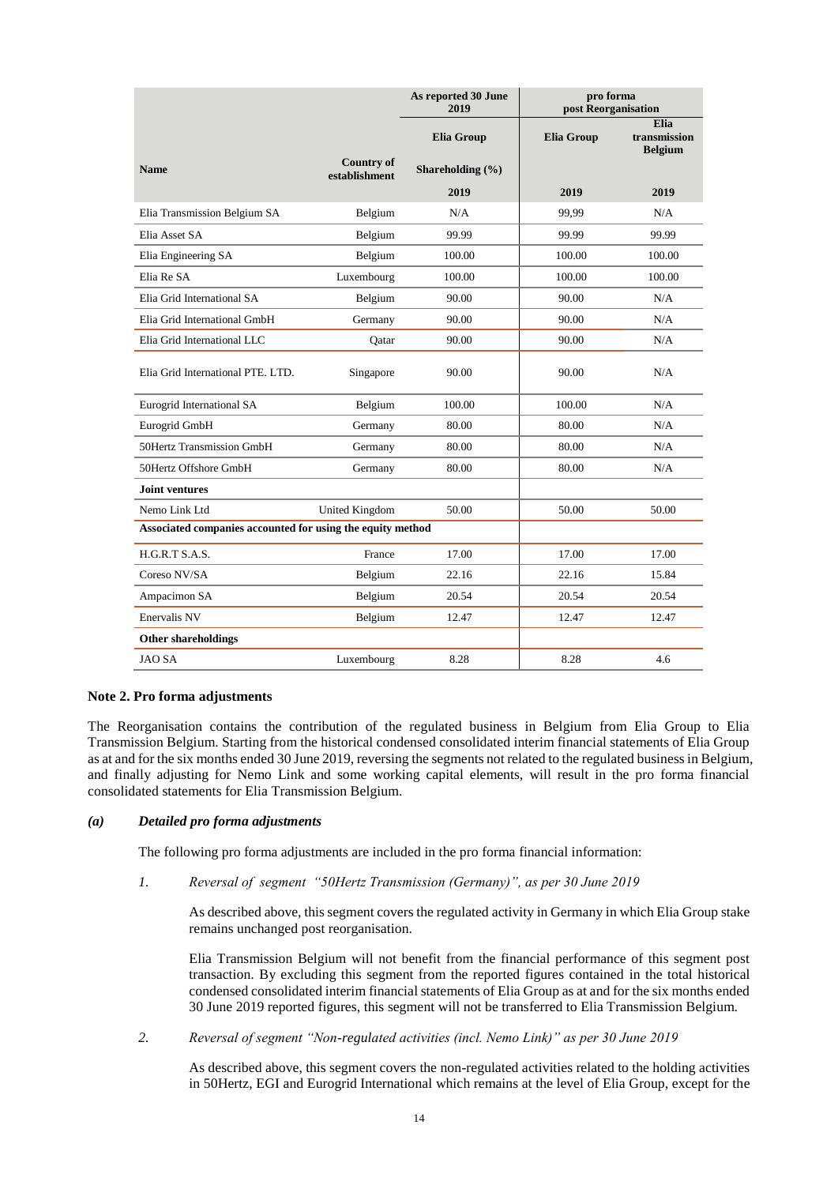|                                                            |                                    | As reported 30 June<br>2019 | pro forma<br>post Reorganisation |                                        |  |  |
|------------------------------------------------------------|------------------------------------|-----------------------------|----------------------------------|----------------------------------------|--|--|
|                                                            |                                    | <b>Elia Group</b>           | <b>Elia Group</b>                | Elia<br>transmission<br><b>Belgium</b> |  |  |
| <b>Name</b>                                                | <b>Country of</b><br>establishment | Shareholding (%)            |                                  |                                        |  |  |
|                                                            |                                    | 2019                        | 2019                             | 2019                                   |  |  |
| Elia Transmission Belgium SA                               | Belgium                            | N/A                         | 99.99                            | N/A                                    |  |  |
| Elia Asset SA                                              | Belgium                            | 99.99                       | 99.99                            | 99.99                                  |  |  |
| Elia Engineering SA                                        | Belgium                            | 100.00                      | 100.00                           | 100.00                                 |  |  |
| Elia Re SA                                                 | Luxembourg                         | 100.00                      | 100.00                           | 100.00                                 |  |  |
| Elia Grid International SA                                 | Belgium                            | 90.00                       | 90.00                            | N/A                                    |  |  |
| Elia Grid International GmbH                               | Germany                            | 90.00                       | 90.00                            | N/A                                    |  |  |
| Elia Grid International LLC                                | Qatar                              | 90.00                       | 90.00                            | N/A                                    |  |  |
| Elia Grid International PTE. LTD.                          | Singapore                          | 90.00                       | 90.00                            | N/A                                    |  |  |
| Eurogrid International SA                                  | Belgium                            | 100.00                      | 100.00                           | N/A                                    |  |  |
| Eurogrid GmbH                                              | Germany                            | 80.00                       | 80.00                            | N/A                                    |  |  |
| 50Hertz Transmission GmbH                                  | Germany                            | 80.00                       | 80.00                            | N/A                                    |  |  |
| 50Hertz Offshore GmbH                                      | Germany                            | 80.00                       | 80.00                            | N/A                                    |  |  |
| <b>Joint ventures</b>                                      |                                    |                             |                                  |                                        |  |  |
| Nemo Link Ltd                                              | United Kingdom                     | 50.00                       | 50.00                            | 50.00                                  |  |  |
| Associated companies accounted for using the equity method |                                    |                             |                                  |                                        |  |  |
| H.G.R.T S.A.S.                                             | France                             | 17.00                       | 17.00                            | 17.00                                  |  |  |
| Coreso NV/SA                                               | Belgium                            | 22.16                       | 22.16                            | 15.84                                  |  |  |
| Ampacimon SA                                               | Belgium                            | 20.54                       | 20.54                            | 20.54                                  |  |  |
| Enervalis NV                                               | Belgium                            | 12.47                       | 12.47                            | 12.47                                  |  |  |
| <b>Other shareholdings</b>                                 |                                    |                             |                                  |                                        |  |  |
| <b>JAO SA</b>                                              | Luxembourg                         | 8.28                        | 8.28                             | 4.6                                    |  |  |

# **Note 2. Pro forma adjustments**

The Reorganisation contains the contribution of the regulated business in Belgium from Elia Group to Elia Transmission Belgium. Starting from the historical condensed consolidated interim financial statements of Elia Group as at and for the six months ended 30 June 2019, reversing the segments not related to the regulated business in Belgium, and finally adjusting for Nemo Link and some working capital elements, will result in the pro forma financial consolidated statements for Elia Transmission Belgium.

#### *(a) Detailed pro forma adjustments*

The following pro forma adjustments are included in the pro forma financial information:

#### *1. Reversal of segment "50Hertz Transmission (Germany)", as per 30 June 2019*

As described above, this segment covers the regulated activity in Germany in which Elia Group stake remains unchanged post reorganisation.

Elia Transmission Belgium will not benefit from the financial performance of this segment post transaction. By excluding this segment from the reported figures contained in the total historical condensed consolidated interim financial statements of Elia Group as at and for the six months ended 30 June 2019 reported figures, this segment will not be transferred to Elia Transmission Belgium.

*2. Reversal of segment "Non-regulated activities (incl. Nemo Link)" as per 30 June 2019*

As described above, this segment covers the non-regulated activities related to the holding activities in 50Hertz, EGI and Eurogrid International which remains at the level of Elia Group, except for the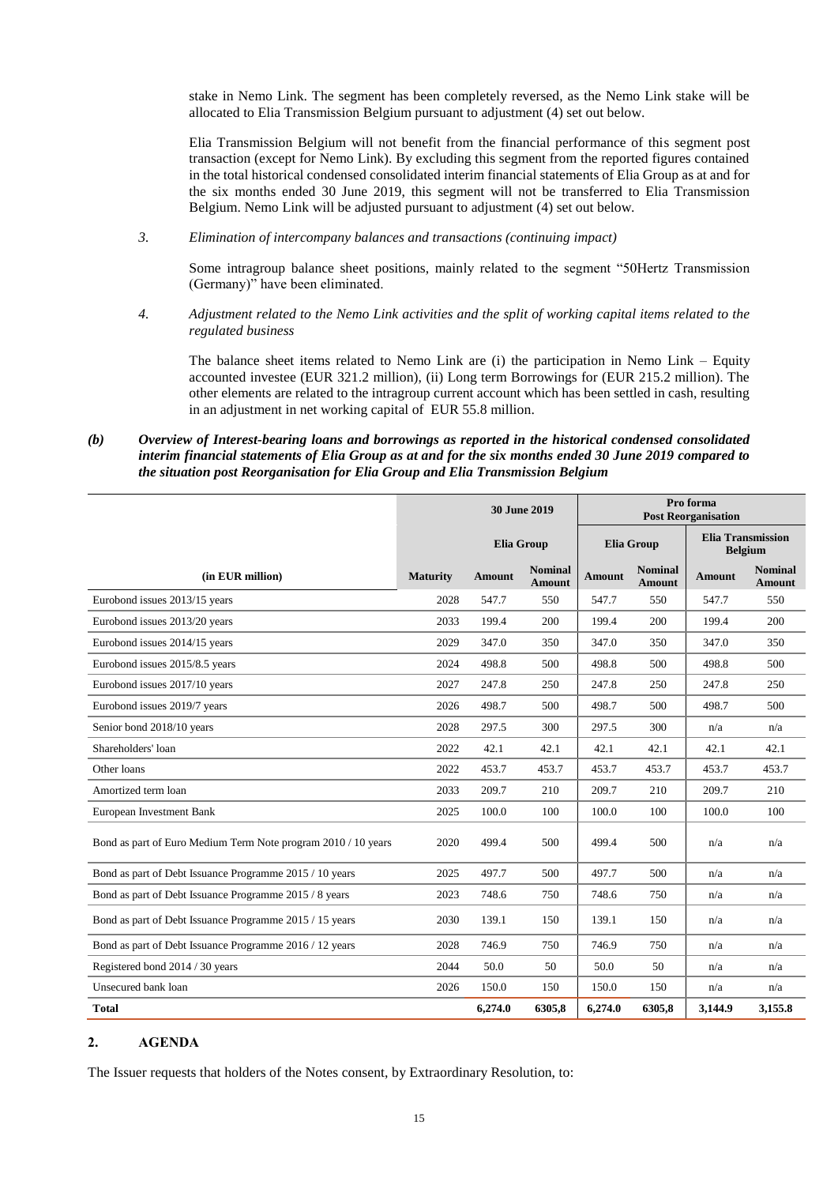stake in Nemo Link. The segment has been completely reversed, as the Nemo Link stake will be allocated to Elia Transmission Belgium pursuant to adjustment (4) set out below.

Elia Transmission Belgium will not benefit from the financial performance of this segment post transaction (except for Nemo Link). By excluding this segment from the reported figures contained in the total historical condensed consolidated interim financial statements of Elia Group as at and for the six months ended 30 June 2019, this segment will not be transferred to Elia Transmission Belgium. Nemo Link will be adjusted pursuant to adjustment (4) set out below.

*3. Elimination of intercompany balances and transactions (continuing impact)* 

Some intragroup balance sheet positions, mainly related to the segment "50Hertz Transmission (Germany)" have been eliminated.

*4. Adjustment related to the Nemo Link activities and the split of working capital items related to the regulated business* 

The balance sheet items related to Nemo Link are (i) the participation in Nemo Link – Equity accounted investee (EUR 321.2 million), (ii) Long term Borrowings for (EUR 215.2 million). The other elements are related to the intragroup current account which has been settled in cash, resulting in an adjustment in net working capital of EUR 55.8 million.

### *(b) Overview of Interest-bearing loans and borrowings as reported in the historical condensed consolidated interim financial statements of Elia Group as at and for the six months ended 30 June 2019 compared to the situation post Reorganisation for Elia Group and Elia Transmission Belgium*

|                                                               |                 |                   | <b>30 June 2019</b>             | Pro forma<br><b>Post Reorganisation</b> |                                 |                                            |                                 |
|---------------------------------------------------------------|-----------------|-------------------|---------------------------------|-----------------------------------------|---------------------------------|--------------------------------------------|---------------------------------|
|                                                               |                 | <b>Elia Group</b> |                                 | <b>Elia Group</b>                       |                                 | <b>Elia Transmission</b><br><b>Belgium</b> |                                 |
| (in EUR million)                                              | <b>Maturity</b> | Amount            | <b>Nominal</b><br><b>Amount</b> | <b>Amount</b>                           | <b>Nominal</b><br><b>Amount</b> | Amount                                     | <b>Nominal</b><br><b>Amount</b> |
| Eurobond issues 2013/15 years                                 | 2028            | 547.7             | 550                             | 547.7                                   | 550                             | 547.7                                      | 550                             |
| Eurobond issues 2013/20 years                                 | 2033            | 199.4             | 200                             | 199.4                                   | 200                             | 199.4                                      | 200                             |
| Eurobond issues 2014/15 years                                 | 2029            | 347.0             | 350                             | 347.0                                   | 350                             | 347.0                                      | 350                             |
| Eurobond issues 2015/8.5 years                                | 2024            | 498.8             | 500                             | 498.8                                   | 500                             | 498.8                                      | 500                             |
| Eurobond issues 2017/10 years                                 | 2027            | 247.8             | 250                             | 247.8                                   | 250                             | 247.8                                      | 250                             |
| Eurobond issues 2019/7 years                                  | 2026            | 498.7             | 500                             | 498.7                                   | 500                             | 498.7                                      | 500                             |
| Senior bond 2018/10 years                                     | 2028            | 297.5             | 300                             | 297.5                                   | 300                             | n/a                                        | n/a                             |
| Shareholders' loan                                            | 2022            | 42.1              | 42.1                            | 42.1                                    | 42.1                            | 42.1                                       | 42.1                            |
| Other loans                                                   | 2022            | 453.7             | 453.7                           | 453.7                                   | 453.7                           | 453.7                                      | 453.7                           |
| Amortized term loan                                           | 2033            | 209.7             | 210                             | 209.7                                   | 210                             | 209.7                                      | 210                             |
| European Investment Bank                                      | 2025            | 100.0             | 100                             | 100.0                                   | 100                             | 100.0                                      | 100                             |
| Bond as part of Euro Medium Term Note program 2010 / 10 years | 2020            | 499.4             | 500                             | 499.4                                   | 500                             | n/a                                        | n/a                             |
| Bond as part of Debt Issuance Programme 2015 / 10 years       | 2025            | 497.7             | 500                             | 497.7                                   | 500                             | n/a                                        | n/a                             |
| Bond as part of Debt Issuance Programme 2015 / 8 years        | 2023            | 748.6             | 750                             | 748.6                                   | 750                             | n/a                                        | n/a                             |
| Bond as part of Debt Issuance Programme 2015 / 15 years       | 2030            | 139.1             | 150                             | 139.1                                   | 150                             | n/a                                        | n/a                             |
| Bond as part of Debt Issuance Programme 2016 / 12 years       | 2028            | 746.9             | 750                             | 746.9                                   | 750                             | n/a                                        | n/a                             |
| Registered bond 2014 / 30 years                               | 2044            | 50.0              | 50                              | 50.0                                    | 50                              | n/a                                        | n/a                             |
| Unsecured bank loan                                           | 2026            | 150.0             | 150                             | 150.0                                   | 150                             | n/a                                        | n/a                             |
| <b>Total</b>                                                  |                 | 6,274.0           | 6305,8                          | 6,274.0                                 | 6305,8                          | 3,144.9                                    | 3,155.8                         |

# **2. AGENDA**

The Issuer requests that holders of the Notes consent, by Extraordinary Resolution, to: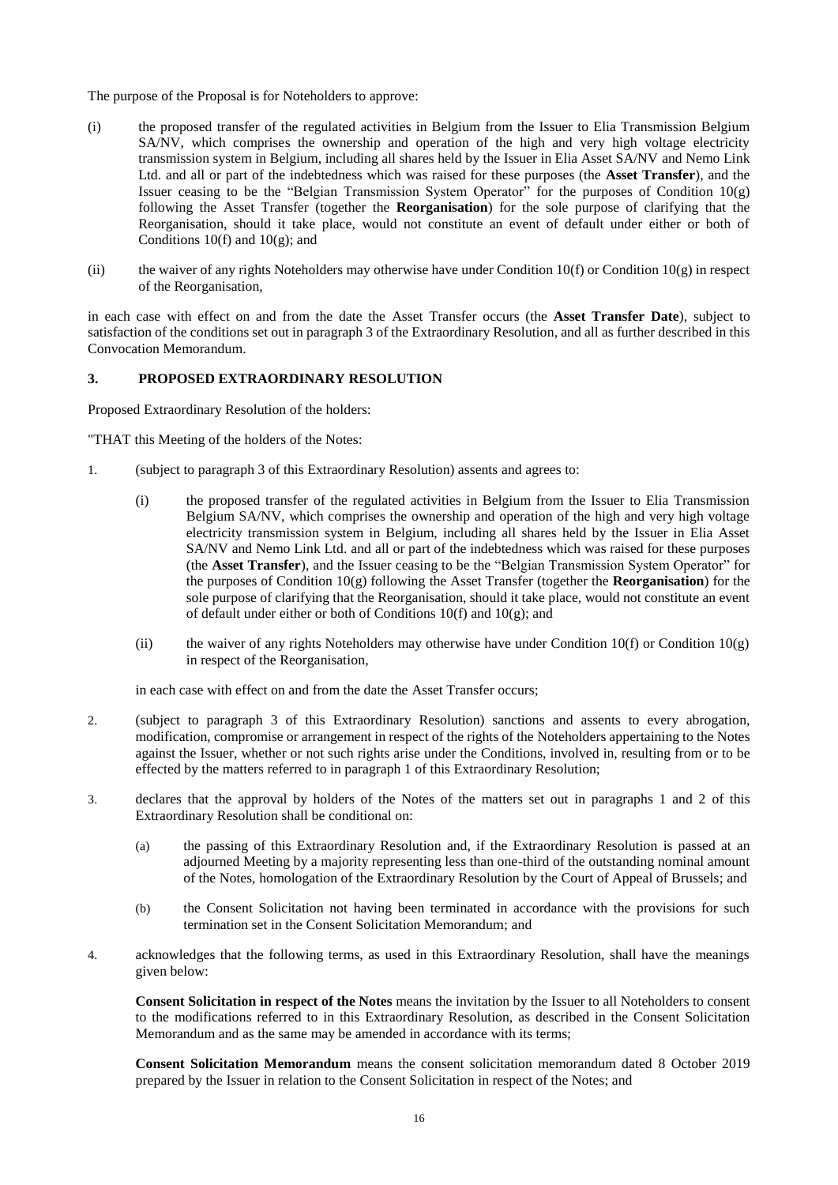The purpose of the Proposal is for Noteholders to approve:

- (i) the proposed transfer of the regulated activities in Belgium from the Issuer to Elia Transmission Belgium SA/NV, which comprises the ownership and operation of the high and very high voltage electricity transmission system in Belgium, including all shares held by the Issuer in Elia Asset SA/NV and Nemo Link Ltd. and all or part of the indebtedness which was raised for these purposes (the **Asset Transfer**), and the Issuer ceasing to be the "Belgian Transmission System Operator" for the purposes of Condition 10(g) following the Asset Transfer (together the **Reorganisation**) for the sole purpose of clarifying that the Reorganisation, should it take place, would not constitute an event of default under either or both of Conditions  $10(f)$  and  $10(g)$ ; and
- (ii) the waiver of any rights Noteholders may otherwise have under Condition 10(f) or Condition 10(g) in respect of the Reorganisation,

in each case with effect on and from the date the Asset Transfer occurs (the **Asset Transfer Date**), subject to satisfaction of the conditions set out in paragraph 3 of the Extraordinary Resolution, and all as further described in this Convocation Memorandum.

# **3. PROPOSED EXTRAORDINARY RESOLUTION**

Proposed Extraordinary Resolution of the holders:

"THAT this Meeting of the holders of the Notes:

- 1. (subject to paragraph 3 of this Extraordinary Resolution) assents and agrees to:
	- (i) the proposed transfer of the regulated activities in Belgium from the Issuer to Elia Transmission Belgium SA/NV, which comprises the ownership and operation of the high and very high voltage electricity transmission system in Belgium, including all shares held by the Issuer in Elia Asset SA/NV and Nemo Link Ltd. and all or part of the indebtedness which was raised for these purposes (the **Asset Transfer**), and the Issuer ceasing to be the "Belgian Transmission System Operator" for the purposes of Condition 10(g) following the Asset Transfer (together the **Reorganisation**) for the sole purpose of clarifying that the Reorganisation, should it take place, would not constitute an event of default under either or both of Conditions 10(f) and 10(g); and
	- (ii) the waiver of any rights Noteholders may otherwise have under Condition  $10(f)$  or Condition  $10(g)$ in respect of the Reorganisation,

in each case with effect on and from the date the Asset Transfer occurs;

- 2. (subject to paragraph 3 of this Extraordinary Resolution) sanctions and assents to every abrogation, modification, compromise or arrangement in respect of the rights of the Noteholders appertaining to the Notes against the Issuer, whether or not such rights arise under the Conditions, involved in, resulting from or to be effected by the matters referred to in paragraph 1 of this Extraordinary Resolution;
- 3. declares that the approval by holders of the Notes of the matters set out in paragraphs 1 and 2 of this Extraordinary Resolution shall be conditional on:
	- (a) the passing of this Extraordinary Resolution and, if the Extraordinary Resolution is passed at an adjourned Meeting by a majority representing less than one-third of the outstanding nominal amount of the Notes, homologation of the Extraordinary Resolution by the Court of Appeal of Brussels; and
	- (b) the Consent Solicitation not having been terminated in accordance with the provisions for such termination set in the Consent Solicitation Memorandum; and
- 4. acknowledges that the following terms, as used in this Extraordinary Resolution, shall have the meanings given below:

**Consent Solicitation in respect of the Notes** means the invitation by the Issuer to all Noteholders to consent to the modifications referred to in this Extraordinary Resolution, as described in the Consent Solicitation Memorandum and as the same may be amended in accordance with its terms;

**Consent Solicitation Memorandum** means the consent solicitation memorandum dated 8 October 2019 prepared by the Issuer in relation to the Consent Solicitation in respect of the Notes; and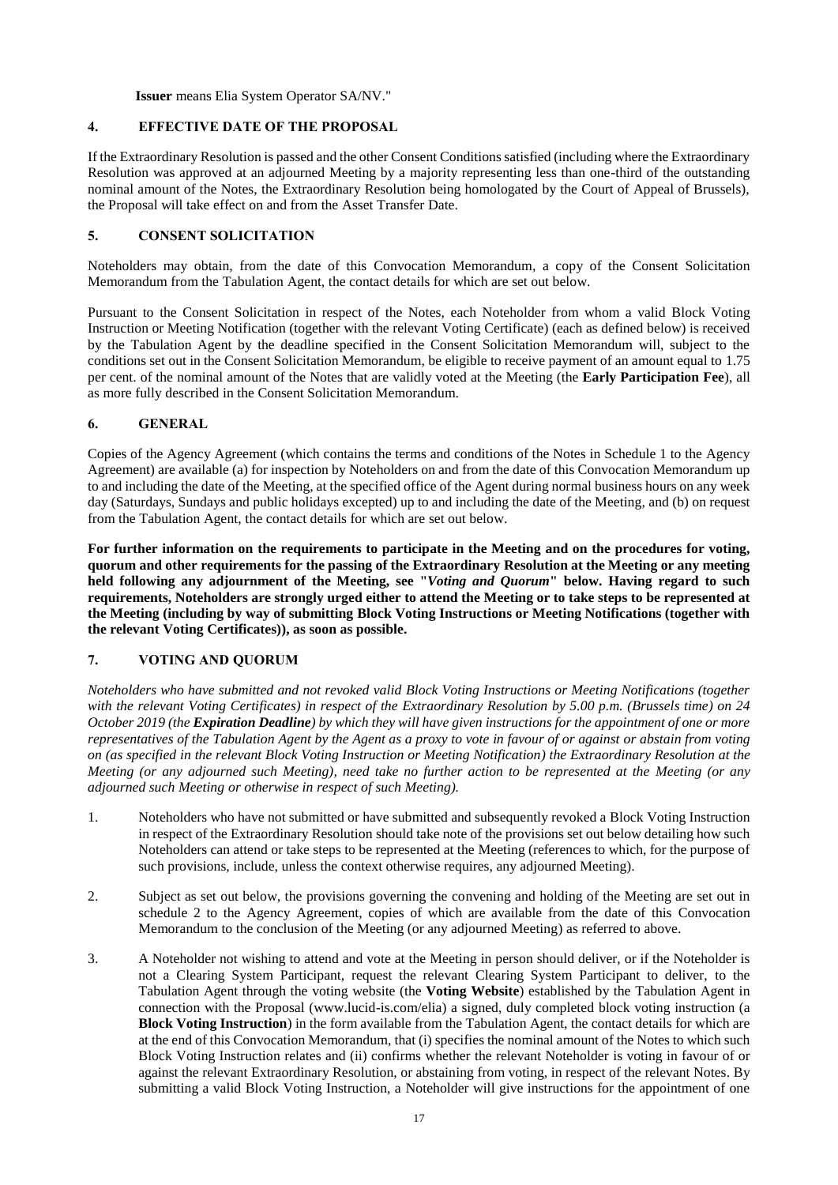**Issuer** means Elia System Operator SA/NV."

# **4. EFFECTIVE DATE OF THE PROPOSAL**

If the Extraordinary Resolution is passed and the other Consent Conditions satisfied (including where the Extraordinary Resolution was approved at an adjourned Meeting by a majority representing less than one-third of the outstanding nominal amount of the Notes, the Extraordinary Resolution being homologated by the Court of Appeal of Brussels), the Proposal will take effect on and from the Asset Transfer Date.

# **5. CONSENT SOLICITATION**

Noteholders may obtain, from the date of this Convocation Memorandum, a copy of the Consent Solicitation Memorandum from the Tabulation Agent, the contact details for which are set out below.

Pursuant to the Consent Solicitation in respect of the Notes, each Noteholder from whom a valid Block Voting Instruction or Meeting Notification (together with the relevant Voting Certificate) (each as defined below) is received by the Tabulation Agent by the deadline specified in the Consent Solicitation Memorandum will, subject to the conditions set out in the Consent Solicitation Memorandum, be eligible to receive payment of an amount equal to 1.75 per cent. of the nominal amount of the Notes that are validly voted at the Meeting (the **Early Participation Fee**), all as more fully described in the Consent Solicitation Memorandum.

# **6. GENERAL**

Copies of the Agency Agreement (which contains the terms and conditions of the Notes in Schedule 1 to the Agency Agreement) are available (a) for inspection by Noteholders on and from the date of this Convocation Memorandum up to and including the date of the Meeting, at the specified office of the Agent during normal business hours on any week day (Saturdays, Sundays and public holidays excepted) up to and including the date of the Meeting, and (b) on request from the Tabulation Agent, the contact details for which are set out below.

**For further information on the requirements to participate in the Meeting and on the procedures for voting, quorum and other requirements for the passing of the Extraordinary Resolution at the Meeting or any meeting held following any adjournment of the Meeting, see "***Voting and Quorum***" below. Having regard to such requirements, Noteholders are strongly urged either to attend the Meeting or to take steps to be represented at the Meeting (including by way of submitting Block Voting Instructions or Meeting Notifications (together with the relevant Voting Certificates)), as soon as possible.**

# **7. VOTING AND QUORUM**

*Noteholders who have submitted and not revoked valid Block Voting Instructions or Meeting Notifications (together with the relevant Voting Certificates) in respect of the Extraordinary Resolution by 5.00 p.m. (Brussels time) on 24 October 2019 (the Expiration Deadline) by which they will have given instructions for the appointment of one or more representatives of the Tabulation Agent by the Agent as a proxy to vote in favour of or against or abstain from voting on (as specified in the relevant Block Voting Instruction or Meeting Notification) the Extraordinary Resolution at the Meeting (or any adjourned such Meeting), need take no further action to be represented at the Meeting (or any adjourned such Meeting or otherwise in respect of such Meeting).*

- 1. Noteholders who have not submitted or have submitted and subsequently revoked a Block Voting Instruction in respect of the Extraordinary Resolution should take note of the provisions set out below detailing how such Noteholders can attend or take steps to be represented at the Meeting (references to which, for the purpose of such provisions, include, unless the context otherwise requires, any adjourned Meeting).
- 2. Subject as set out below, the provisions governing the convening and holding of the Meeting are set out in schedule 2 to the Agency Agreement, copies of which are available from the date of this Convocation Memorandum to the conclusion of the Meeting (or any adjourned Meeting) as referred to above.
- 3. A Noteholder not wishing to attend and vote at the Meeting in person should deliver, or if the Noteholder is not a Clearing System Participant, request the relevant Clearing System Participant to deliver, to the Tabulation Agent through the voting website (the **Voting Website**) established by the Tabulation Agent in connection with the Proposal (www.lucid-is.com/elia) a signed, duly completed block voting instruction (a **Block Voting Instruction**) in the form available from the Tabulation Agent, the contact details for which are at the end of this Convocation Memorandum, that (i) specifies the nominal amount of the Notes to which such Block Voting Instruction relates and (ii) confirms whether the relevant Noteholder is voting in favour of or against the relevant Extraordinary Resolution, or abstaining from voting, in respect of the relevant Notes. By submitting a valid Block Voting Instruction, a Noteholder will give instructions for the appointment of one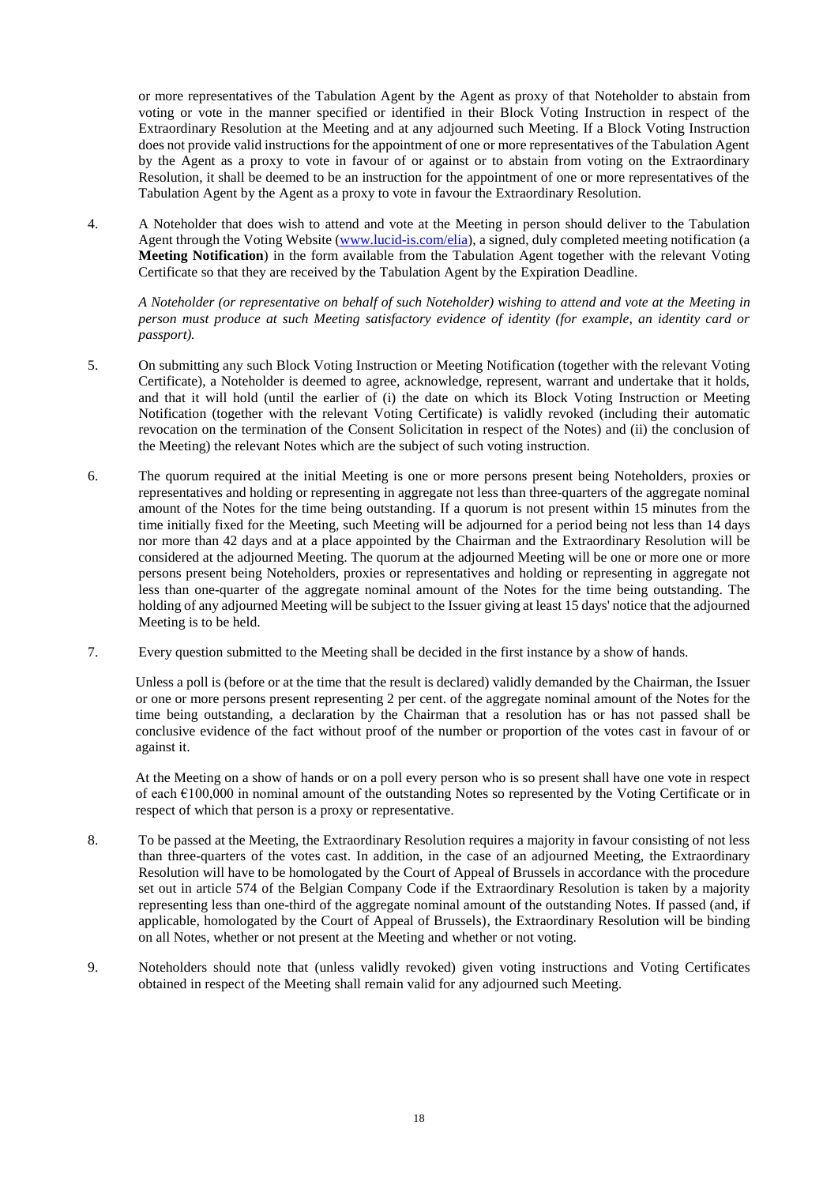or more representatives of the Tabulation Agent by the Agent as proxy of that Noteholder to abstain from voting or vote in the manner specified or identified in their Block Voting Instruction in respect of the Extraordinary Resolution at the Meeting and at any adjourned such Meeting. If a Block Voting Instruction does not provide valid instructions for the appointment of one or more representatives of the Tabulation Agent by the Agent as a proxy to vote in favour of or against or to abstain from voting on the Extraordinary Resolution, it shall be deemed to be an instruction for the appointment of one or more representatives of the Tabulation Agent by the Agent as a proxy to vote in favour the Extraordinary Resolution.

4. A Noteholder that does wish to attend and vote at the Meeting in person should deliver to the Tabulation Agent through the Voting Website [\(www.lucid-is.com/elia\)](http://www.lucid-is.com/elia), a signed, duly completed meeting notification (a **Meeting Notification**) in the form available from the Tabulation Agent together with the relevant Voting Certificate so that they are received by the Tabulation Agent by the Expiration Deadline.

*A Noteholder (or representative on behalf of such Noteholder) wishing to attend and vote at the Meeting in person must produce at such Meeting satisfactory evidence of identity (for example, an identity card or passport).*

- 5. On submitting any such Block Voting Instruction or Meeting Notification (together with the relevant Voting Certificate), a Noteholder is deemed to agree, acknowledge, represent, warrant and undertake that it holds, and that it will hold (until the earlier of (i) the date on which its Block Voting Instruction or Meeting Notification (together with the relevant Voting Certificate) is validly revoked (including their automatic revocation on the termination of the Consent Solicitation in respect of the Notes) and (ii) the conclusion of the Meeting) the relevant Notes which are the subject of such voting instruction.
- 6. The quorum required at the initial Meeting is one or more persons present being Noteholders, proxies or representatives and holding or representing in aggregate not less than three-quarters of the aggregate nominal amount of the Notes for the time being outstanding. If a quorum is not present within 15 minutes from the time initially fixed for the Meeting, such Meeting will be adjourned for a period being not less than 14 days nor more than 42 days and at a place appointed by the Chairman and the Extraordinary Resolution will be considered at the adjourned Meeting. The quorum at the adjourned Meeting will be one or more one or more persons present being Noteholders, proxies or representatives and holding or representing in aggregate not less than one-quarter of the aggregate nominal amount of the Notes for the time being outstanding. The holding of any adjourned Meeting will be subject to the Issuer giving at least 15 days' notice that the adjourned Meeting is to be held.
- 7. Every question submitted to the Meeting shall be decided in the first instance by a show of hands.

Unless a poll is (before or at the time that the result is declared) validly demanded by the Chairman, the Issuer or one or more persons present representing 2 per cent. of the aggregate nominal amount of the Notes for the time being outstanding, a declaration by the Chairman that a resolution has or has not passed shall be conclusive evidence of the fact without proof of the number or proportion of the votes cast in favour of or against it.

At the Meeting on a show of hands or on a poll every person who is so present shall have one vote in respect of each  $\epsilon$ 100,000 in nominal amount of the outstanding Notes so represented by the Voting Certificate or in respect of which that person is a proxy or representative.

- 8. To be passed at the Meeting, the Extraordinary Resolution requires a majority in favour consisting of not less than three-quarters of the votes cast. In addition, in the case of an adjourned Meeting, the Extraordinary Resolution will have to be homologated by the Court of Appeal of Brussels in accordance with the procedure set out in article 574 of the Belgian Company Code if the Extraordinary Resolution is taken by a majority representing less than one-third of the aggregate nominal amount of the outstanding Notes. If passed (and, if applicable, homologated by the Court of Appeal of Brussels), the Extraordinary Resolution will be binding on all Notes, whether or not present at the Meeting and whether or not voting.
- 9. Noteholders should note that (unless validly revoked) given voting instructions and Voting Certificates obtained in respect of the Meeting shall remain valid for any adjourned such Meeting.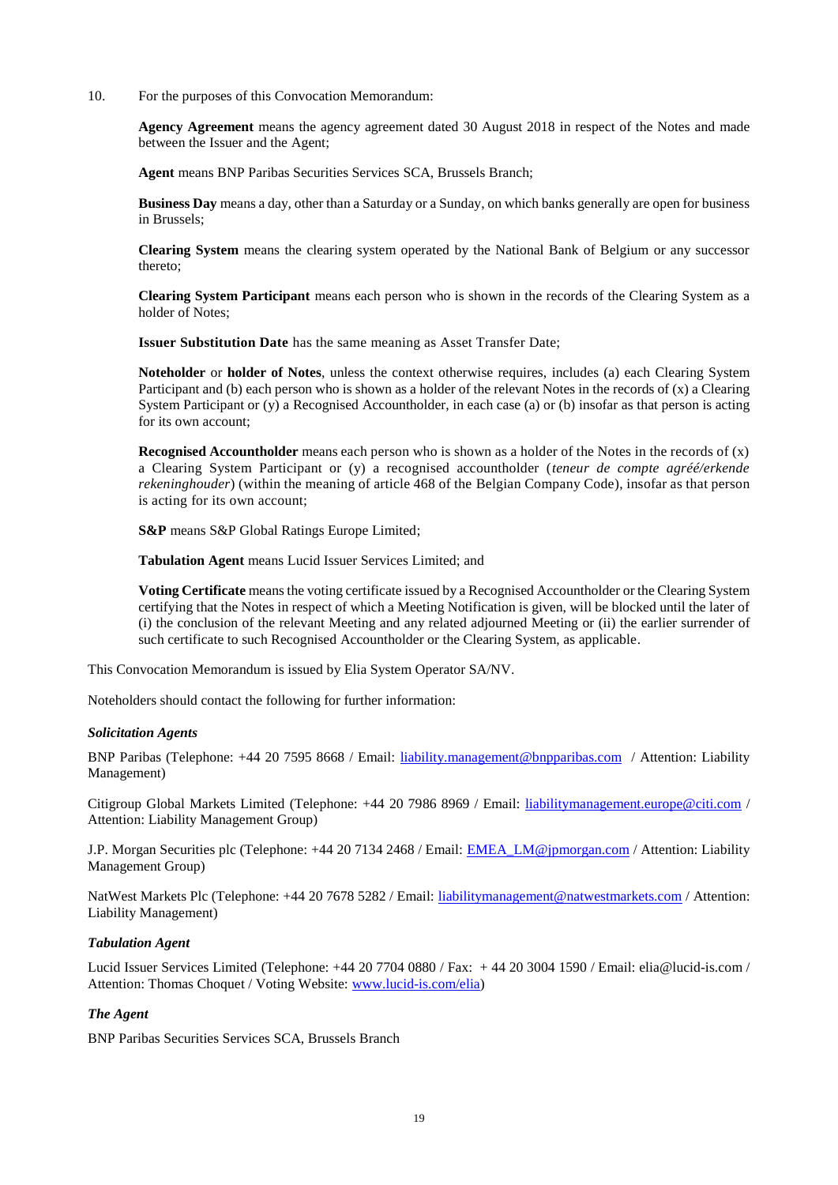10. For the purposes of this Convocation Memorandum:

**Agency Agreement** means the agency agreement dated 30 August 2018 in respect of the Notes and made between the Issuer and the Agent;

**Agent** means BNP Paribas Securities Services SCA, Brussels Branch;

**Business Day** means a day, other than a Saturday or a Sunday, on which banks generally are open for business in Brussels;

**Clearing System** means the clearing system operated by the National Bank of Belgium or any successor thereto;

**Clearing System Participant** means each person who is shown in the records of the Clearing System as a holder of Notes;

**Issuer Substitution Date** has the same meaning as Asset Transfer Date;

**Noteholder** or **holder of Notes**, unless the context otherwise requires, includes (a) each Clearing System Participant and (b) each person who is shown as a holder of the relevant Notes in the records of (x) a Clearing System Participant or (y) a Recognised Accountholder, in each case (a) or (b) insofar as that person is acting for its own account;

**Recognised Accountholder** means each person who is shown as a holder of the Notes in the records of (x) a Clearing System Participant or (y) a recognised accountholder (*teneur de compte agréé/erkende rekeninghouder*) (within the meaning of article 468 of the Belgian Company Code), insofar as that person is acting for its own account;

**S&P** means S&P Global Ratings Europe Limited;

**Tabulation Agent** means Lucid Issuer Services Limited; and

**Voting Certificate** means the voting certificate issued by a Recognised Accountholder or the Clearing System certifying that the Notes in respect of which a Meeting Notification is given, will be blocked until the later of (i) the conclusion of the relevant Meeting and any related adjourned Meeting or (ii) the earlier surrender of such certificate to such Recognised Accountholder or the Clearing System, as applicable.

This Convocation Memorandum is issued by Elia System Operator SA/NV.

Noteholders should contact the following for further information:

#### *Solicitation Agents*

BNP Paribas (Telephone: +44 20 7595 8668 / Email: [liability.management@bnpparibas.com](mailto:liability.management@bnpparibas.com) / Attention: Liability Management)

Citigroup Global Markets Limited (Telephone: +44 20 7986 8969 / Email: [liabilitymanagement.europe@citi.com](mailto:liabilitymanagement.europe@citi.com) / Attention: Liability Management Group)

J.P. Morgan Securities plc (Telephone: +44 20 7134 2468 / Email: [EMEA\\_LM@jpmorgan.com](mailto:EMEA_LM@jpmorgan.com) / Attention: Liability Management Group)

NatWest Markets Plc (Telephone: +44 20 7678 5282 / Email: [liabilitymanagement@natwestmarkets.com](mailto:liabilitymanagement@natwestmarkets.com) / Attention: Liability Management)

#### *Tabulation Agent*

Lucid Issuer Services Limited (Telephone: +44 20 7704 0880 / Fax: + 44 20 3004 1590 / Email: elia@lucid-is.com / Attention: Thomas Choquet / Voting Website: [www.lucid-is.com/elia\)](http://www.lucid-is.com/elia)

# *The Agent*

BNP Paribas Securities Services SCA, Brussels Branch